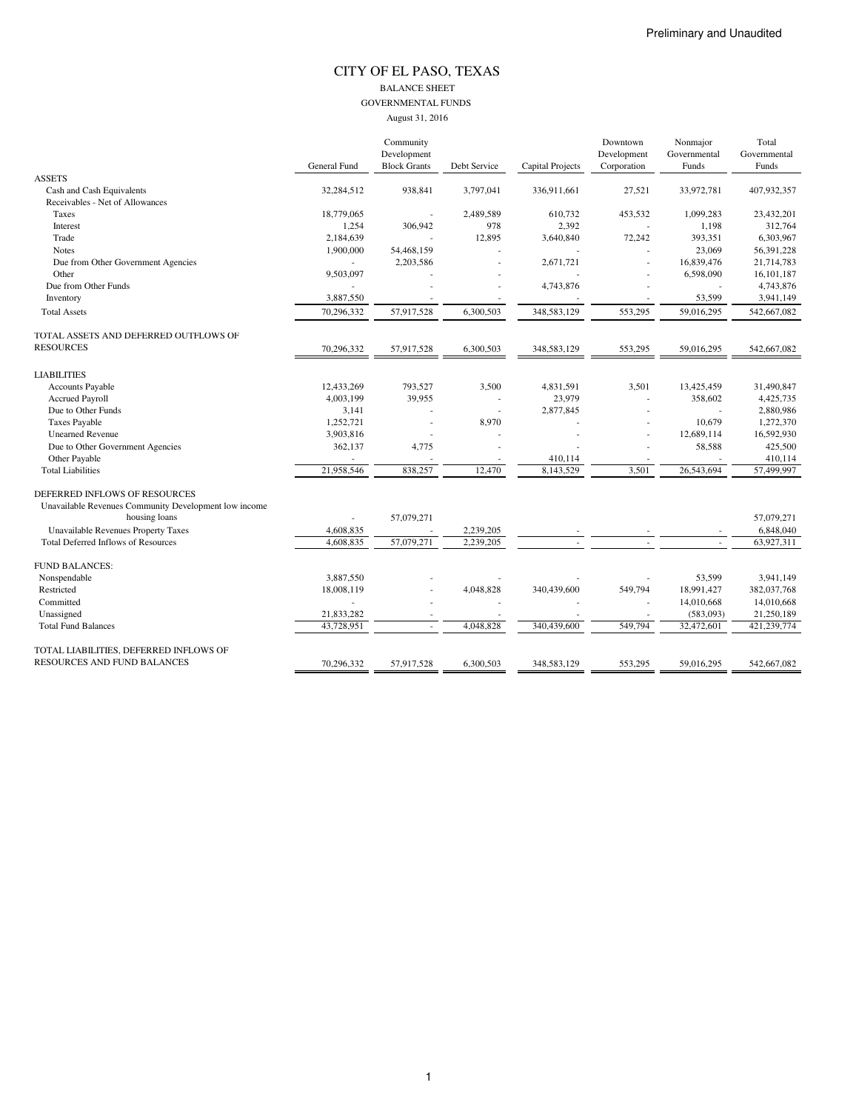## CITY OF EL PASO, TEXAS BALANCE SHEET GOVERNMENTAL FUNDS

|                                                       |              | Community                          |              |                  | Downtown                   | Nonmajor              | Total                 |
|-------------------------------------------------------|--------------|------------------------------------|--------------|------------------|----------------------------|-----------------------|-----------------------|
|                                                       | General Fund | Development<br><b>Block Grants</b> | Debt Service | Capital Projects | Development<br>Corporation | Governmental<br>Funds | Governmental<br>Funds |
| <b>ASSETS</b>                                         |              |                                    |              |                  |                            |                       |                       |
| Cash and Cash Equivalents                             | 32,284,512   | 938,841                            | 3,797,041    | 336,911,661      | 27,521                     | 33,972,781            | 407,932,357           |
| Receivables - Net of Allowances                       |              |                                    |              |                  |                            |                       |                       |
| Taxes                                                 | 18,779,065   |                                    | 2,489,589    | 610,732          | 453,532                    | 1,099,283             | 23,432,201            |
| Interest                                              | 1,254        | 306,942                            | 978          | 2,392            |                            | 1,198                 | 312,764               |
| Trade                                                 | 2,184,639    |                                    | 12,895       | 3,640,840        | 72,242                     | 393,351               | 6,303,967             |
| <b>Notes</b>                                          | 1,900,000    | 54,468,159                         |              |                  |                            | 23,069                | 56,391,228            |
| Due from Other Government Agencies                    | $\sim$       | 2,203,586                          |              | 2,671,721        |                            | 16,839,476            | 21,714,783            |
| Other                                                 | 9,503,097    |                                    |              |                  |                            | 6,598,090             | 16,101,187            |
| Due from Other Funds                                  |              |                                    |              | 4,743,876        |                            |                       | 4,743,876             |
| Inventory                                             | 3,887,550    |                                    |              |                  |                            | 53,599                | 3,941,149             |
| <b>Total Assets</b>                                   | 70,296,332   | 57,917,528                         | 6,300,503    | 348,583,129      | 553,295                    | 59,016,295            | 542,667,082           |
| TOTAL ASSETS AND DEFERRED OUTFLOWS OF                 |              |                                    |              |                  |                            |                       |                       |
| <b>RESOURCES</b>                                      | 70,296,332   | 57,917,528                         | 6,300,503    | 348,583,129      | 553,295                    | 59,016,295            | 542,667,082           |
| <b>LIABILITIES</b>                                    |              |                                    |              |                  |                            |                       |                       |
| <b>Accounts Payable</b>                               | 12,433,269   | 793,527                            | 3,500        | 4,831,591        | 3,501                      | 13,425,459            | 31,490,847            |
| <b>Accrued Payroll</b>                                | 4,003,199    | 39,955                             |              | 23,979           | ä,                         | 358,602               | 4,425,735             |
| Due to Other Funds                                    | 3,141        |                                    |              | 2,877,845        |                            |                       | 2,880,986             |
| <b>Taxes Payable</b>                                  | 1,252,721    |                                    | 8,970        |                  |                            | 10,679                | 1,272,370             |
| <b>Unearned Revenue</b>                               | 3,903,816    |                                    |              |                  |                            | 12,689,114            | 16,592,930            |
| Due to Other Government Agencies                      | 362,137      | 4,775                              |              |                  |                            | 58,588                | 425,500               |
| Other Payable                                         |              |                                    |              | 410,114          |                            |                       | 410,114               |
| <b>Total Liabilities</b>                              | 21,958,546   | 838,257                            | 12,470       | 8,143,529        | 3,501                      | 26,543,694            | 57,499,997            |
| DEFERRED INFLOWS OF RESOURCES                         |              |                                    |              |                  |                            |                       |                       |
| Unavailable Revenues Community Development low income |              |                                    |              |                  |                            |                       |                       |
| housing loans                                         |              | 57,079,271                         |              |                  |                            |                       | 57.079.271            |
| Unavailable Revenues Property Taxes                   | 4,608,835    |                                    | 2,239,205    |                  |                            |                       | 6,848,040             |
| <b>Total Deferred Inflows of Resources</b>            | 4,608,835    | 57,079,271                         | 2,239,205    |                  |                            |                       | 63,927,311            |
| <b>FUND BALANCES:</b>                                 |              |                                    |              |                  |                            |                       |                       |
| Nonspendable                                          | 3,887,550    |                                    |              |                  |                            | 53,599                | 3,941,149             |
| Restricted                                            | 18,008,119   |                                    | 4,048,828    | 340,439,600      | 549,794                    | 18,991,427            | 382,037,768           |
| Committed                                             |              |                                    |              |                  |                            | 14,010,668            | 14,010,668            |
| Unassigned                                            | 21,833,282   |                                    |              |                  |                            | (583,093)             | 21,250,189            |
| <b>Total Fund Balances</b>                            | 43.728.951   |                                    | 4,048,828    | 340,439,600      | 549,794                    | 32,472,601            | 421,239,774           |
| TOTAL LIABILITIES, DEFERRED INFLOWS OF                |              |                                    |              |                  |                            |                       |                       |
| RESOURCES AND FUND BALANCES                           | 70.296.332   | 57,917,528                         | 6.300.503    | 348,583,129      | 553.295                    | 59.016.295            | 542,667,082           |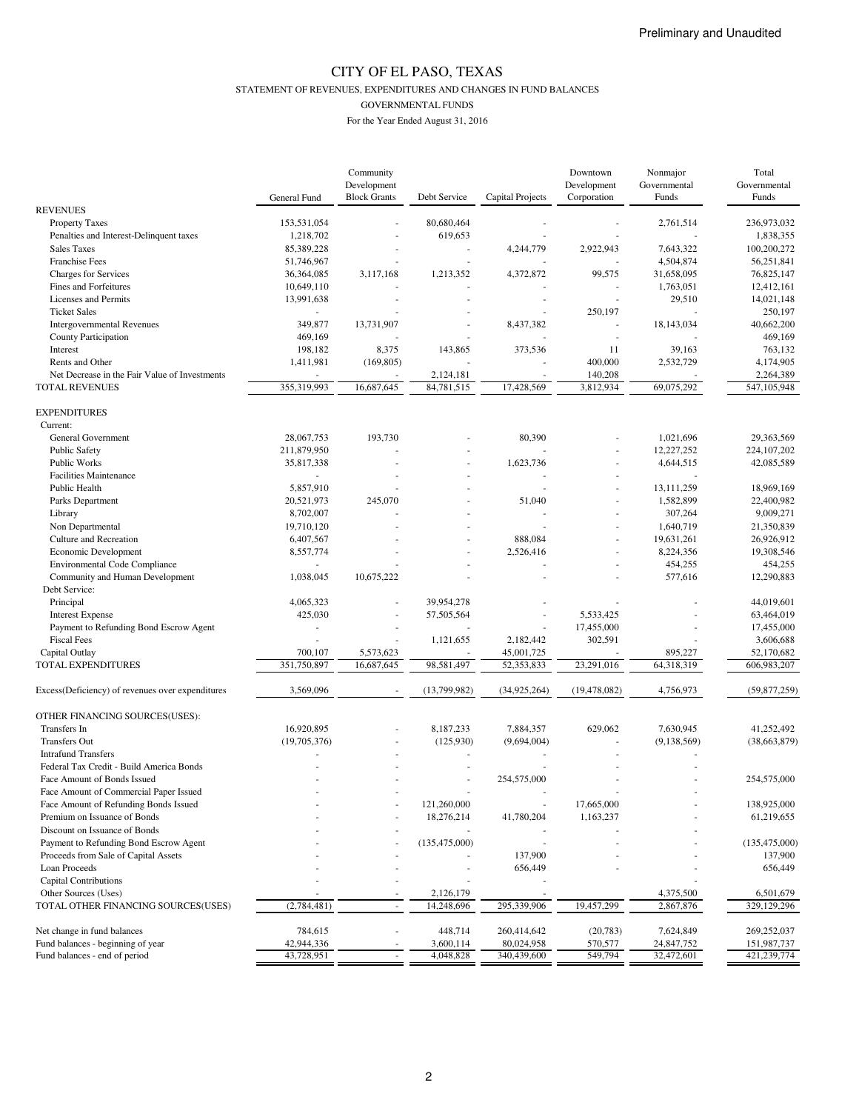STATEMENT OF REVENUES, EXPENDITURES AND CHANGES IN FUND BALANCES

GOVERNMENTAL FUNDS

|                                                  | General Fund | Community<br>Development<br><b>Block Grants</b> | Debt Service    | Capital Projects | Downtown<br>Development<br>Corporation | Nonmajor<br>Governmental<br>Funds | Total<br>Governmental<br>Funds |
|--------------------------------------------------|--------------|-------------------------------------------------|-----------------|------------------|----------------------------------------|-----------------------------------|--------------------------------|
| <b>REVENUES</b>                                  |              |                                                 |                 |                  |                                        |                                   |                                |
| <b>Property Taxes</b>                            | 153,531,054  |                                                 | 80,680,464      |                  |                                        | 2,761,514                         | 236,973,032                    |
| Penalties and Interest-Delinquent taxes          | 1,218,702    |                                                 | 619,653         |                  |                                        |                                   | 1,838,355                      |
| <b>Sales Taxes</b>                               | 85,389,228   |                                                 |                 | 4,244,779        | 2,922,943                              | 7,643,322                         | 100,200,272                    |
| <b>Franchise Fees</b>                            | 51,746,967   |                                                 |                 |                  |                                        | 4,504,874                         | 56,251,841                     |
| Charges for Services                             | 36,364,085   | 3,117,168                                       | 1,213,352       | 4,372,872        | 99,575                                 | 31,658,095                        | 76,825,147                     |
| Fines and Forfeitures                            | 10,649,110   |                                                 |                 |                  |                                        | 1,763,051                         | 12,412,161                     |
| Licenses and Permits                             | 13,991,638   |                                                 |                 |                  |                                        | 29,510                            | 14,021,148                     |
| <b>Ticket Sales</b>                              |              |                                                 |                 |                  | 250,197                                |                                   | 250,197                        |
| <b>Intergovernmental Revenues</b>                | 349,877      | 13,731,907                                      |                 | 8,437,382        | L,                                     | 18,143,034                        | 40,662,200                     |
| County Participation                             | 469,169      |                                                 |                 |                  |                                        |                                   | 469,169                        |
| Interest                                         | 198,182      | 8,375                                           | 143,865         | 373,536          | 11                                     | 39,163                            | 763,132                        |
| Rents and Other                                  | 1,411,981    | (169, 805)                                      |                 |                  | 400,000                                | 2,532,729                         | 4,174,905                      |
| Net Decrease in the Fair Value of Investments    | ä,           |                                                 | 2,124,181       |                  | 140,208                                |                                   | 2,264,389                      |
| <b>TOTAL REVENUES</b>                            | 355,319,993  | 16,687,645                                      | 84,781,515      | 17,428,569       | 3,812,934                              | 69,075,292                        | 547,105,948                    |
| <b>EXPENDITURES</b><br>Current:                  |              |                                                 |                 |                  |                                        |                                   |                                |
| General Government                               | 28,067,753   |                                                 |                 | 80,390           |                                        | 1,021,696                         | 29,363,569                     |
|                                                  | 211,879,950  | 193,730                                         |                 |                  |                                        | 12,227,252                        | 224, 107, 202                  |
| <b>Public Safety</b><br>Public Works             |              |                                                 |                 |                  |                                        |                                   |                                |
|                                                  | 35,817,338   |                                                 |                 | 1,623,736        |                                        | 4,644,515                         | 42,085,589                     |
| <b>Facilities Maintenance</b>                    |              |                                                 |                 |                  |                                        |                                   |                                |
| Public Health                                    | 5,857,910    |                                                 |                 |                  |                                        | 13,111,259                        | 18,969,169                     |
| Parks Department                                 | 20,521,973   | 245,070                                         |                 | 51,040           |                                        | 1,582,899                         | 22,400,982                     |
| Library                                          | 8,702,007    |                                                 |                 |                  |                                        | 307,264                           | 9,009,271                      |
| Non Departmental                                 | 19,710,120   |                                                 |                 |                  |                                        | 1,640,719                         | 21,350,839                     |
| Culture and Recreation                           | 6,407,567    |                                                 |                 | 888,084          |                                        | 19,631,261                        | 26,926,912                     |
| Economic Development                             | 8,557,774    |                                                 |                 | 2,526,416        |                                        | 8,224,356                         | 19,308,546                     |
| <b>Environmental Code Compliance</b>             |              |                                                 |                 |                  |                                        | 454,255                           | 454,255                        |
| Community and Human Development                  | 1,038,045    | 10,675,222                                      |                 |                  |                                        | 577,616                           | 12,290,883                     |
| Debt Service:                                    |              |                                                 |                 |                  |                                        |                                   |                                |
| Principal                                        | 4,065,323    |                                                 | 39,954,278      |                  |                                        |                                   | 44,019,601                     |
| <b>Interest Expense</b>                          | 425,030      |                                                 | 57,505,564      |                  | 5,533,425                              |                                   | 63,464,019                     |
| Payment to Refunding Bond Escrow Agent           |              |                                                 |                 |                  | 17,455,000                             |                                   | 17,455,000                     |
| <b>Fiscal Fees</b>                               |              |                                                 | 1,121,655       | 2,182,442        | 302,591                                |                                   | 3,606,688                      |
| Capital Outlay                                   | 700,107      | 5,573,623                                       |                 | 45,001,725       |                                        | 895,227                           | 52,170,682                     |
| TOTAL EXPENDITURES                               | 351,750,897  | 16,687,645                                      | 98,581,497      | 52,353,833       | 23,291,016                             | 64,318,319                        | 606,983,207                    |
| Excess(Deficiency) of revenues over expenditures | 3,569,096    |                                                 | (13,799,982)    | (34,925,264)     | (19, 478, 082)                         | 4,756,973                         | (59, 877, 259)                 |
| OTHER FINANCING SOURCES(USES):                   |              |                                                 |                 |                  |                                        |                                   |                                |
| Transfers In                                     | 16,920,895   |                                                 | 8,187,233       | 7,884,357        | 629,062                                | 7,630,945                         | 41,252,492                     |
| <b>Transfers Out</b>                             | (19,705,376) |                                                 | (125,930)       | (9,694,004)      |                                        | (9,138,569)                       | (38,663,879)                   |
| <b>Intrafund Transfers</b>                       |              |                                                 |                 |                  |                                        |                                   |                                |
| Federal Tax Credit - Build America Bonds         |              |                                                 |                 |                  |                                        |                                   |                                |
| Face Amount of Bonds Issued                      |              |                                                 |                 | 254,575,000      |                                        |                                   | 254,575,000                    |
| Face Amount of Commercial Paper Issued           |              |                                                 |                 |                  |                                        |                                   |                                |
| Face Amount of Refunding Bonds Issued            |              |                                                 | 121,260,000     |                  | 17,665,000                             |                                   | 138,925,000                    |
| Premium on Issuance of Bonds                     |              |                                                 | 18,276,214      | 41,780,204       | 1,163,237                              |                                   | 61,219,655                     |
| Discount on Issuance of Bonds                    |              |                                                 |                 |                  |                                        |                                   |                                |
| Payment to Refunding Bond Escrow Agent           |              |                                                 | (135, 475, 000) |                  |                                        |                                   | (135, 475, 000)                |
| Proceeds from Sale of Capital Assets             |              |                                                 |                 | 137,900          |                                        |                                   | 137,900                        |
| Loan Proceeds                                    |              |                                                 |                 | 656,449          |                                        |                                   | 656,449                        |
| Capital Contributions                            |              |                                                 |                 |                  |                                        |                                   |                                |
| Other Sources (Uses)                             |              |                                                 | 2,126,179       |                  |                                        | 4,375,500                         | 6,501,679                      |
| TOTAL OTHER FINANCING SOURCES(USES)              | (2,784,481)  | ÷,                                              | 14,248,696      | 295,339,906      | 19,457,299                             | 2,867,876                         | 329,129,296                    |
|                                                  |              |                                                 |                 |                  |                                        |                                   |                                |
| Net change in fund balances                      | 784,615      |                                                 | 448,714         | 260,414,642      | (20, 783)                              | 7,624,849                         | 269,252,037                    |
| Fund balances - beginning of year                | 42,944,336   |                                                 | 3,600,114       | 80,024,958       | 570,577                                | 24,847,752                        | 151,987,737                    |
| Fund balances - end of period                    | 43,728,951   | $\omega$                                        | 4,048,828       | 340,439,600      | 549,794                                | 32,472,601                        | 421,239,774                    |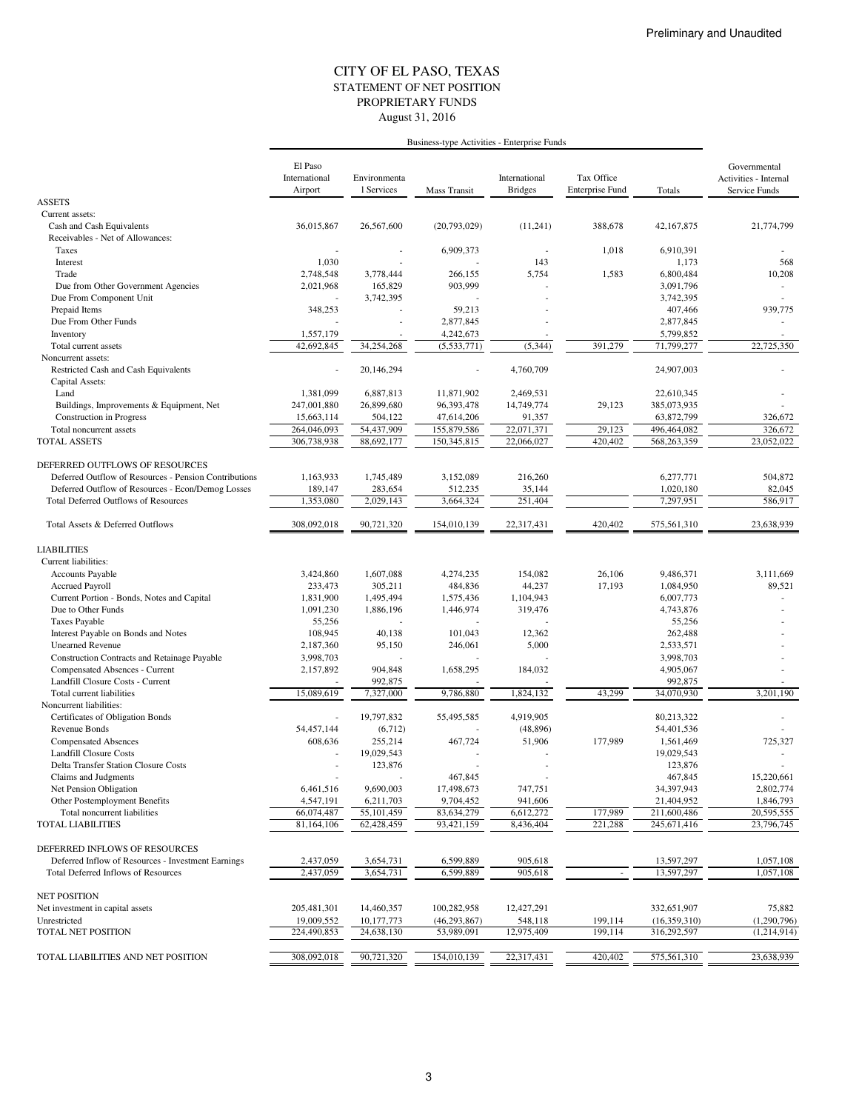### STATEMENT OF NET POSITION CITY OF EL PASO, TEXAS August 31, 2016 PROPRIETARY FUNDS

|                                                       | Business-type Activities - Enterprise Funds |                            |                     |                                 |                                      |              |                                                        |
|-------------------------------------------------------|---------------------------------------------|----------------------------|---------------------|---------------------------------|--------------------------------------|--------------|--------------------------------------------------------|
|                                                       | El Paso<br>International<br>Airport         | Environmenta<br>1 Services | <b>Mass Transit</b> | International<br><b>Bridges</b> | Tax Office<br><b>Enterprise Fund</b> | Totals       | Governmental<br>Activities - Internal<br>Service Funds |
| <b>ASSETS</b>                                         |                                             |                            |                     |                                 |                                      |              |                                                        |
| Current assets:                                       |                                             |                            |                     |                                 |                                      |              |                                                        |
| Cash and Cash Equivalents                             | 36,015,867                                  | 26,567,600                 | (20,793,029)        | (11,241)                        | 388,678                              | 42,167,875   | 21,774,799                                             |
| Receivables - Net of Allowances:                      |                                             |                            |                     |                                 |                                      |              |                                                        |
| Taxes                                                 |                                             |                            | 6,909,373           |                                 | 1,018                                | 6,910,391    |                                                        |
| Interest                                              | 1,030                                       |                            |                     | 143                             |                                      | 1,173        | 568                                                    |
| Trade                                                 | 2,748,548                                   | 3,778,444                  | 266,155             | 5,754                           | 1,583                                | 6,800,484    | 10,208                                                 |
| Due from Other Government Agencies                    | 2,021,968                                   | 165,829                    | 903,999             |                                 |                                      | 3,091,796    |                                                        |
| Due From Component Unit                               |                                             | 3,742,395                  |                     |                                 |                                      | 3,742,395    |                                                        |
| Prepaid Items                                         | 348,253                                     |                            | 59,213              |                                 |                                      | 407,466      | 939,775                                                |
| Due From Other Funds                                  |                                             |                            | 2,877,845           |                                 |                                      | 2,877,845    |                                                        |
| Inventory                                             | 1,557,179                                   |                            | 4,242,673           |                                 |                                      | 5,799,852    |                                                        |
| Total current assets                                  | 42,692,845                                  | 34,254,268                 | (5,533,771)         | (5, 344)                        | 391,279                              | 71,799,277   | 22,725,350                                             |
| Noncurrent assets:                                    |                                             |                            |                     |                                 |                                      |              |                                                        |
| Restricted Cash and Cash Equivalents                  |                                             | 20,146,294                 |                     | 4,760,709                       |                                      | 24,907,003   |                                                        |
| Capital Assets:                                       |                                             |                            |                     |                                 |                                      |              |                                                        |
| Land                                                  | 1,381,099                                   | 6,887,813                  | 11,871,902          | 2,469,531                       |                                      | 22,610,345   |                                                        |
| Buildings, Improvements & Equipment, Net              | 247,001,880                                 | 26,899,680                 | 96,393,478          | 14,749,774                      | 29,123                               | 385,073,935  |                                                        |
| <b>Construction</b> in Progress                       | 15,663,114                                  | 504,122                    | 47,614,206          | 91,357                          |                                      | 63,872,799   | 326,672                                                |
| Total noncurrent assets                               | 264,046,093                                 | 54,437,909                 | 155,879,586         | 22,071,371                      | 29,123                               | 496,464,082  | 326,672                                                |
| <b>TOTAL ASSETS</b>                                   | 306.738.938                                 | 88,692,177                 | 150,345,815         | 22,066,027                      | 420,402                              | 568,263,359  | 23,052,022                                             |
|                                                       |                                             |                            |                     |                                 |                                      |              |                                                        |
| DEFERRED OUTFLOWS OF RESOURCES                        |                                             |                            |                     |                                 |                                      |              |                                                        |
| Deferred Outflow of Resources - Pension Contributions | 1,163,933                                   | 1,745,489                  | 3,152,089           | 216,260                         |                                      | 6,277,771    | 504,872                                                |
| Deferred Outflow of Resources - Econ/Demog Losses     | 189,147                                     | 283,654                    | 512,235             | 35,144                          |                                      | 1,020,180    | 82,045                                                 |
| <b>Total Deferred Outflows of Resources</b>           | 1,353,080                                   | 2,029,143                  | 3,664,324           | 251,404                         |                                      | 7,297,951    | 586,917                                                |
| Total Assets & Deferred Outflows                      | 308,092,018                                 | 90.721.320                 | 154,010,139         | 22,317,431                      | 420,402                              | 575,561,310  | 23,638,939                                             |
| <b>LIABILITIES</b>                                    |                                             |                            |                     |                                 |                                      |              |                                                        |
| Current liabilities:                                  |                                             |                            |                     |                                 |                                      |              |                                                        |
| Accounts Payable                                      | 3,424,860                                   | 1,607,088                  | 4,274,235           | 154,082                         | 26,106                               | 9,486,371    | 3,111,669                                              |
| <b>Accrued Payroll</b>                                | 233,473                                     | 305,211                    | 484,836             | 44,237                          | 17,193                               | 1,084,950    | 89,521                                                 |
| Current Portion - Bonds, Notes and Capital            | 1,831,900                                   | 1,495,494                  | 1,575,436           | 1,104,943                       |                                      | 6,007,773    |                                                        |
| Due to Other Funds                                    | 1,091,230                                   | 1,886,196                  | 1,446,974           | 319,476                         |                                      | 4,743,876    |                                                        |
| Taxes Payable                                         | 55,256                                      |                            |                     |                                 |                                      | 55,256       |                                                        |
| Interest Payable on Bonds and Notes                   | 108,945                                     | 40,138                     | 101,043             | 12,362                          |                                      | 262,488      |                                                        |
| <b>Unearned Revenue</b>                               | 2,187,360                                   | 95,150                     | 246,061             | 5,000                           |                                      | 2,533,571    |                                                        |
| Construction Contracts and Retainage Payable          | 3,998,703                                   |                            |                     |                                 |                                      | 3,998,703    |                                                        |
| Compensated Absences - Current                        | 2,157,892                                   | 904,848                    | 1,658,295           | 184,032                         |                                      | 4,905,067    |                                                        |
| Landfill Closure Costs - Current                      |                                             | 992,875                    |                     |                                 |                                      | 992,875      |                                                        |
| Total current liabilities                             | 15,089,619                                  | 7,327,000                  | 9,786,880           | 1,824,132                       | 43,299                               | 34,070,930   | 3.201.190                                              |
| Noncurrent liabilities:                               |                                             |                            |                     |                                 |                                      |              |                                                        |
| Certificates of Obligation Bonds                      |                                             | 19,797,832                 | 55,495,585          | 4,919,905                       |                                      | 80,213,322   |                                                        |
| Revenue Bonds                                         | 54,457,144                                  | (6, 712)                   |                     | (48, 896)                       |                                      | 54,401,536   |                                                        |
| <b>Compensated Absences</b>                           | 608,636                                     | 255,214                    | 467,724             | 51,906                          | 177,989                              | 1,561,469    | 725,327                                                |
| <b>Landfill Closure Costs</b>                         |                                             | 19,029,543                 |                     |                                 |                                      | 19,029,543   |                                                        |
| Delta Transfer Station Closure Costs                  |                                             | 123,876                    |                     |                                 |                                      | 123,876      |                                                        |
| Claims and Judgments                                  |                                             |                            | 467,845             |                                 |                                      | 467,845      | 15,220,661                                             |
| Net Pension Obligation                                | 6,461,516                                   | 9,690,003                  | 17,498,673          | 747,751                         |                                      | 34,397,943   | 2,802,774                                              |
| Other Postemployment Benefits                         | 4,547,191                                   | 6,211,703                  | 9,704,452           | 941,606                         |                                      | 21,404,952   | 1,846,793                                              |
| Total noncurrent liabilities                          | 66,074,487                                  | 55,101,459                 | 83,634,279          | 6,612,272                       | 177,989                              | 211,600,486  | 20,595,555                                             |
| <b>TOTAL LIABILITIES</b>                              | 81,164,106                                  | 62,428,459                 | 93,421,159          | 8,436,404                       | 221,288                              | 245,671,416  | 23,796,745                                             |
|                                                       |                                             |                            |                     |                                 |                                      |              |                                                        |
| DEFERRED INFLOWS OF RESOURCES                         |                                             |                            |                     |                                 |                                      |              |                                                        |
| Deferred Inflow of Resources - Investment Earnings    | 2,437,059                                   | 3,654,731                  | 6,599,889           | 905,618                         |                                      | 13,597,297   | 1,057,108                                              |
| <b>Total Deferred Inflows of Resources</b>            | 2,437,059                                   | 3,654,731                  | 6,599,889           | 905,618                         |                                      | 13,597,297   | 1,057,108                                              |
| <b>NET POSITION</b>                                   |                                             |                            |                     |                                 |                                      |              |                                                        |
| Net investment in capital assets                      | 205,481,301                                 | 14,460,357                 | 100,282,958         | 12,427,291                      |                                      | 332,651,907  | 75,882                                                 |
| Unrestricted                                          | 19,009,552                                  | 10,177,773                 | (46, 293, 867)      | 548,118                         | 199,114                              | (16,359,310) | (1,290,796)                                            |
| <b>TOTAL NET POSITION</b>                             | 224,490,853                                 | 24,638,130                 | 53,989,091          | 12,975,409                      | 199,114                              | 316,292,597  | (1,214,914)                                            |
|                                                       |                                             |                            |                     |                                 |                                      |              |                                                        |
| TOTAL LIABILITIES AND NET POSITION                    | 308,092,018                                 | 90,721,320                 | 154,010,139         | 22,317,431                      | 420,402                              | 575,561,310  | 23,638,939                                             |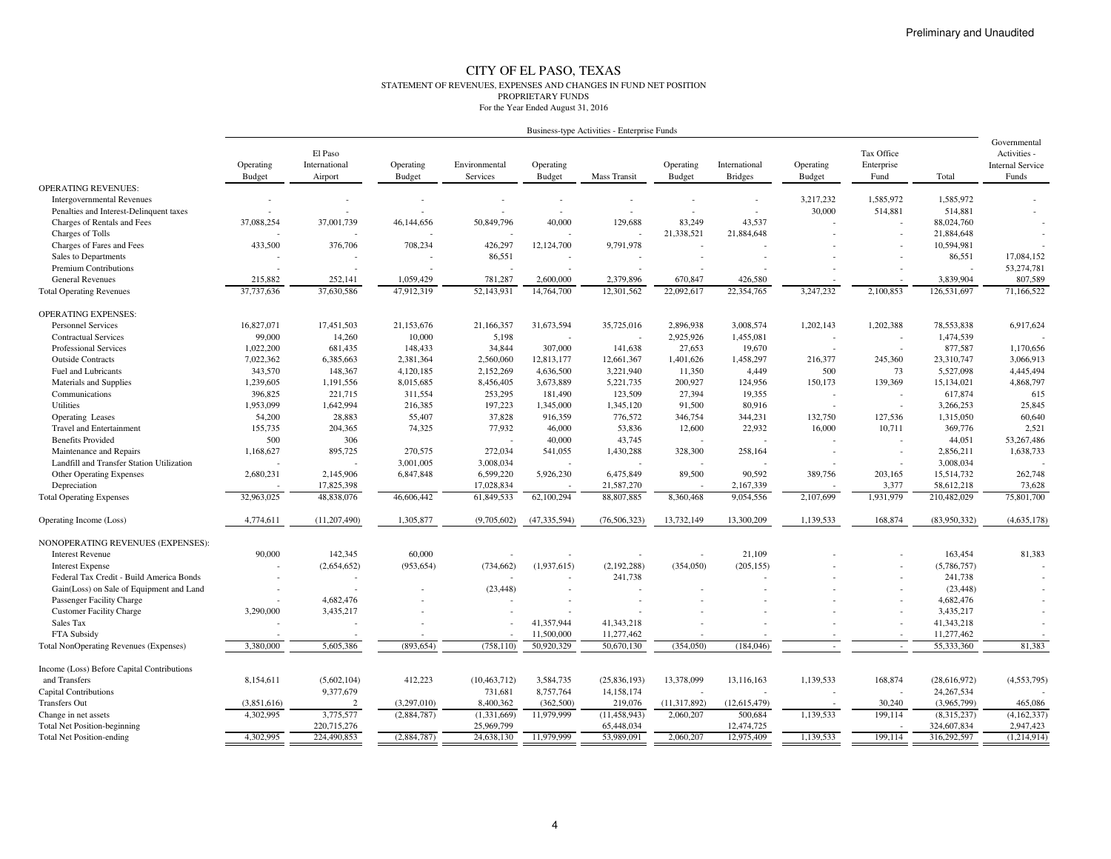#### CITY OF EL PASO, TEXAS STATEMENT OF REVENUES, EXPENSES AND CHANGES IN FUND NET POSITIONPROPRIETARY FUNDSFor the Year Ended August 31, 2016

| Business-type Activities - Enterprise Funds |  |  |
|---------------------------------------------|--|--|
|                                             |  |  |

|                                            | Operating<br>Budget | El Paso<br>International<br>Airport | Operating<br><b>Budget</b> | Environmental<br>Services | Operating<br>Budget | <b>Mass Transit</b> | Operating<br><b>Budget</b> | International<br><b>Bridges</b> | Operating<br>Budget | Tax Office<br>Enterprise<br>Fund | Total          | Governmental<br>Activities -<br><b>Internal Service</b><br>Funds |
|--------------------------------------------|---------------------|-------------------------------------|----------------------------|---------------------------|---------------------|---------------------|----------------------------|---------------------------------|---------------------|----------------------------------|----------------|------------------------------------------------------------------|
| <b>OPERATING REVENUES:</b>                 |                     |                                     |                            |                           |                     |                     |                            |                                 |                     |                                  |                |                                                                  |
| <b>Intergovernmental Revenues</b>          |                     |                                     |                            |                           |                     |                     |                            |                                 | 3,217,232           | 1,585,972                        | 1,585,972      |                                                                  |
| Penalties and Interest-Delinquent taxes    |                     |                                     |                            |                           |                     |                     |                            |                                 | 30,000              | 514,881                          | 514,881        |                                                                  |
| Charges of Rentals and Fees                | 37,088,254          | 37,001,739                          | 46,144,656                 | 50,849,796                | 40,000              | 129,688             | 83,249                     | 43,537                          |                     |                                  | 88,024,760     |                                                                  |
| Charges of Tolls                           |                     |                                     |                            |                           |                     |                     | 21,338,521                 | 21,884,648                      |                     |                                  | 21,884,648     |                                                                  |
| Charges of Fares and Fees                  | 433,500             | 376,706                             | 708,234                    | 426,297                   | 12,124,700          | 9,791,978           |                            |                                 |                     |                                  | 10,594,981     |                                                                  |
| Sales to Departments                       |                     |                                     |                            | 86,551                    |                     |                     |                            |                                 |                     |                                  | 86,551         | 17,084,152                                                       |
| Premium Contributions                      |                     |                                     |                            |                           |                     |                     |                            |                                 |                     |                                  |                | 53,274,781                                                       |
| <b>General Revenues</b>                    | 215,882             | 252.141                             | 1.059.429                  | 781,287                   | 2,600,000           | 2,379,896           | 670,847                    | 426,580                         |                     |                                  | 3,839,904      | 807,589                                                          |
| <b>Total Operating Revenues</b>            | 37,737,636          | 37,630,586                          | 47,912,319                 | 52,143,931                | 14,764,700          | 12,301,562          | 22,092,617                 | 22,354,765                      | 3,247,232           | 2,100,853                        | 126,531,697    | 71,166,522                                                       |
| <b>OPERATING EXPENSES:</b>                 |                     |                                     |                            |                           |                     |                     |                            |                                 |                     |                                  |                |                                                                  |
| <b>Personnel Services</b>                  | 16,827,071          | 17,451,503                          | 21,153,676                 | 21,166,357                | 31,673,594          | 35,725,016          | 2,896,938                  | 3,008,574                       | 1,202,143           | 1,202,388                        | 78,553,838     | 6,917,624                                                        |
| <b>Contractual Services</b>                | 99,000              | 14,260                              | 10,000                     | 5,198                     |                     |                     | 2,925,926                  | 1,455,081                       |                     |                                  | 1,474,539      |                                                                  |
| <b>Professional Services</b>               | 1,022,200           | 681,435                             | 148,433                    | 34,844                    | 307,000             | 141,638             | 27,653                     | 19,670                          |                     |                                  | 877,587        | 1,170,656                                                        |
| <b>Outside Contracts</b>                   | 7,022,362           | 6,385,663                           | 2,381,364                  | 2,560,060                 | 12,813,177          | 12,661,367          | 1,401,626                  | 1,458,297                       | 216,377             | 245,360                          | 23,310,747     | 3,066,913                                                        |
| Fuel and Lubricants                        | 343,570             | 148,367                             | 4,120,185                  | 2,152,269                 | 4,636,500           | 3,221,940           | 11,350                     | 4,449                           | 500                 | 73                               | 5,527,098      | 4,445,494                                                        |
| Materials and Supplies                     | 1,239,605           | 1,191,556                           | 8,015,685                  | 8,456,405                 | 3,673,889           | 5,221,735           | 200,927                    | 124,956                         | 150,173             | 139,369                          | 15,134,021     | 4,868,797                                                        |
| Communications                             | 396,825             | 221,715                             | 311,554                    | 253,295                   | 181,490             | 123,509             | 27,394                     | 19,355                          |                     |                                  | 617,874        | 615                                                              |
| <b>Utilities</b>                           | 1,953,099           | 1,642,994                           | 216,385                    | 197,223                   | 1,345,000           | 1,345,120           | 91,500                     | 80,916                          |                     |                                  | 3,266,253      | 25,845                                                           |
| <b>Operating Leases</b>                    | 54,200              | 28,883                              | 55,407                     | 37,828                    | 916,359             | 776,572             | 346,754                    | 344,231                         | 132,750             | 127,536                          | 1,315,050      | 60,640                                                           |
| <b>Travel and Entertainment</b>            | 155,735             | 204,365                             | 74,325                     | 77,932                    | 46,000              | 53,836              | 12,600                     | 22,932                          | 16,000              | 10,711                           | 369,776        | 2,521                                                            |
| <b>Benefits Provided</b>                   | 500                 | 306                                 |                            | $\overline{\phantom{a}}$  | 40,000              | 43,745              |                            |                                 |                     |                                  | 44,051         | 53,267,486                                                       |
| Maintenance and Repairs                    | 1,168,627           | 895,725                             | 270,575                    | 272,034                   | 541,055             | 1,430,288           | 328,300                    | 258,164                         |                     |                                  | 2,856,211      | 1,638,733                                                        |
| Landfill and Transfer Station Utilization  |                     |                                     | 3,001,005                  | 3,008,034                 |                     |                     |                            |                                 |                     |                                  | 3,008,034      |                                                                  |
| <b>Other Operating Expenses</b>            | 2,680,231           | 2,145,906                           | 6,847,848                  | 6,599,220                 | 5,926,230           | 6,475,849           | 89,500                     | 90,592                          | 389,756             | 203,165                          | 15,514,732     | 262,748                                                          |
| Depreciation                               |                     | 17,825,398                          |                            | 17,028,834                |                     | 21,587,270          |                            | 2,167,339                       |                     | 3,377                            | 58,612,218     | 73,628                                                           |
| <b>Total Operating Expenses</b>            | 32,963,025          | 48,838,076                          | 46,606,442                 | 61,849,533                | 62,100,294          | 88,807,885          | 8,360,468                  | 9,054,556                       | 2,107,699           | 1,931,979                        | 210,482,029    | 75,801,700                                                       |
| Operating Income (Loss)                    | 4,774,611           | (11, 207, 490)                      | 1,305,877                  | (9,705,602)               | (47, 335, 594)      | (76, 506, 323)      | 13,732,149                 | 13,300,209                      | 1,139,533           | 168,874                          | (83,950,332)   | (4,635,178)                                                      |
| NONOPERATING REVENUES (EXPENSES):          |                     |                                     |                            |                           |                     |                     |                            |                                 |                     |                                  |                |                                                                  |
| <b>Interest Revenue</b>                    | 90,000              | 142,345                             | 60,000                     |                           |                     |                     |                            | 21,109                          |                     |                                  | 163,454        | 81,383                                                           |
| <b>Interest Expense</b>                    |                     | (2,654,652)                         | (953, 654)                 | (734, 662)                | (1,937,615)         | (2,192,288)         | (354,050)                  | (205, 155)                      |                     |                                  | (5,786,757)    |                                                                  |
| Federal Tax Credit - Build America Bonds   |                     |                                     |                            |                           |                     | 241,738             |                            |                                 |                     |                                  | 241,738        |                                                                  |
| Gain(Loss) on Sale of Equipment and Land   |                     |                                     |                            | (23, 448)                 |                     |                     |                            |                                 |                     |                                  | (23, 448)      |                                                                  |
| Passenger Facility Charge                  |                     | 4,682,476                           |                            |                           |                     |                     |                            |                                 |                     |                                  | 4,682,476      |                                                                  |
| <b>Customer Facility Charge</b>            | 3,290,000           | 3,435,217                           |                            |                           |                     |                     |                            |                                 |                     |                                  | 3,435,217      |                                                                  |
| Sales Tax                                  |                     |                                     |                            |                           | 41,357,944          | 41,343,218          |                            |                                 |                     |                                  | 41,343,218     |                                                                  |
| FTA Subsidy                                |                     |                                     |                            |                           | 11,500,000          | 11,277,462          |                            |                                 |                     |                                  | 11,277,462     |                                                                  |
| Total NonOperating Revenues (Expenses)     | 3,380,000           | 5,605,386                           | (893, 654)                 | (758, 110)                | 50,920,329          | 50,670,130          | (354,050)                  | (184, 046)                      |                     |                                  | 55,333,360     | 81,383                                                           |
| Income (Loss) Before Capital Contributions |                     |                                     |                            |                           |                     |                     |                            |                                 |                     |                                  |                |                                                                  |
| and Transfers                              | 8,154,611           | (5,602,104)                         | 412,223                    | (10, 463, 712)            | 3,584,735           | (25, 836, 193)      | 13,378,099                 | 13,116,163                      | 1,139,533           | 168,874                          | (28, 616, 972) | (4, 553, 795)                                                    |
| Capital Contributions                      |                     | 9,377,679                           |                            | 731,681                   | 8,757,764           | 14,158,174          | $\overline{\phantom{a}}$   |                                 |                     |                                  | 24, 267, 534   |                                                                  |
| <b>Transfers Out</b>                       | (3,851,616)         | $\mathcal{D}$                       | (3,297,010)                | 8.400.362                 | (362,500)           | 219,076             | (11, 317, 892)             | (12,615,479)                    |                     | 30,240                           | (3.965.799)    | 465,086                                                          |
| Change in net assets                       | 4,302,995           | 3,775,577                           | (2,884,787)                | (1,331,669)               | 11,979,999          | (11, 458, 943)      | 2,060,207                  | 500,684                         | 1,139,533           | 199,114                          | (8,315,237)    | (4, 162, 337)                                                    |
| <b>Total Net Position-beginning</b>        |                     | 220,715,276                         |                            | 25,969,799                |                     | 65,448,034          |                            | 12,474,725                      |                     |                                  | 324,607,834    | 2,947,423                                                        |
| <b>Total Net Position-ending</b>           | 4,302,995           | 224,490,853                         | (2,884,787)                | 24,638,130                | 11,979,999          | 53,989,091          | 2,060,207                  | 12,975,409                      | 1,139,533           | 199,114                          | 316,292,597    | (1,214,914)                                                      |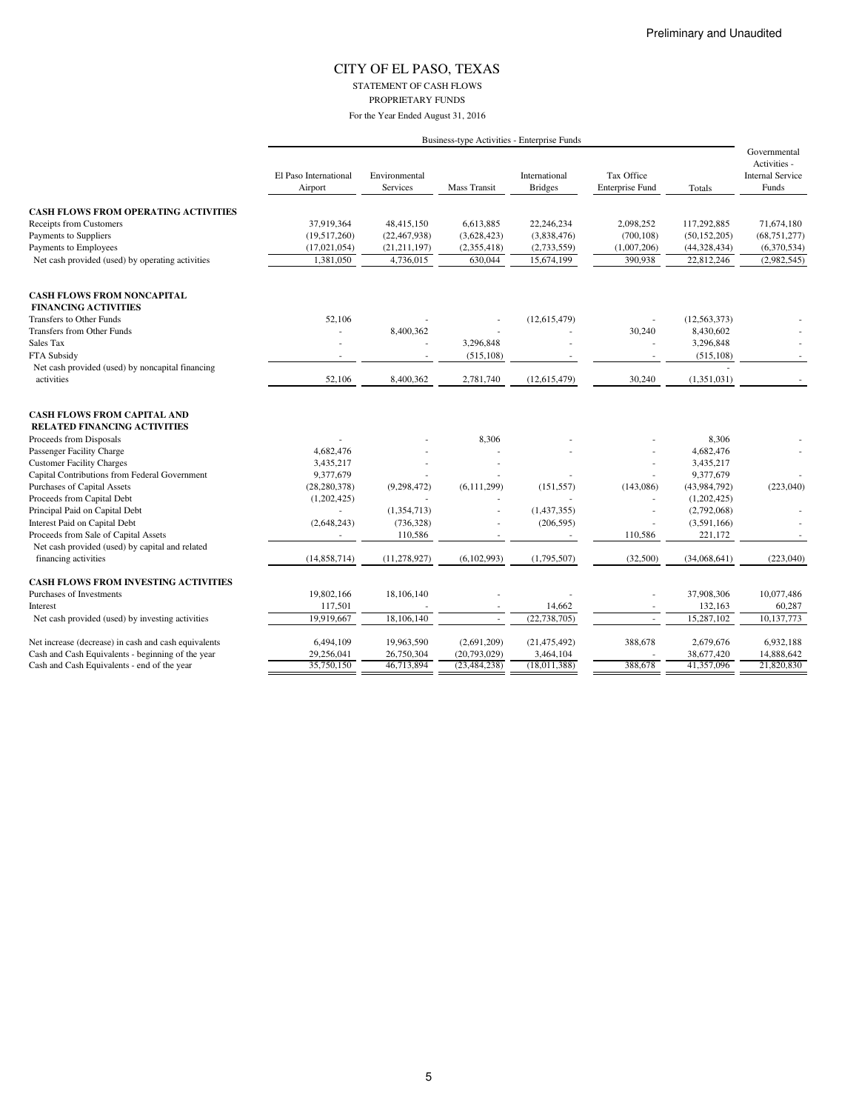STATEMENT OF CASH FLOWS

PROPRIETARY FUNDS

|                                                                           |                                  |                           |                     | Business-type Activities - Enterprise Funds |                                      |                |                                                                  |
|---------------------------------------------------------------------------|----------------------------------|---------------------------|---------------------|---------------------------------------------|--------------------------------------|----------------|------------------------------------------------------------------|
|                                                                           | El Paso International<br>Airport | Environmental<br>Services | <b>Mass Transit</b> | International<br><b>Bridges</b>             | Tax Office<br><b>Enterprise Fund</b> | Totals         | Governmental<br>Activities -<br><b>Internal Service</b><br>Funds |
| <b>CASH FLOWS FROM OPERATING ACTIVITIES</b>                               |                                  |                           |                     |                                             |                                      |                |                                                                  |
| Receipts from Customers                                                   | 37,919,364                       | 48,415,150                | 6,613,885           | 22,246,234                                  | 2,098,252                            | 117,292,885    | 71,674,180                                                       |
| Payments to Suppliers                                                     | (19,517,260)                     | (22, 467, 938)            | (3,628,423)         | (3,838,476)                                 | (700, 108)                           | (50, 152, 205) | (68, 751, 277)                                                   |
| Payments to Employees                                                     | (17, 021, 054)                   | (21, 211, 197)            | (2,355,418)         | (2,733,559)                                 | (1,007,206)                          | (44,328,434)   | (6,370,534)                                                      |
| Net cash provided (used) by operating activities                          | 1,381,050                        | 4,736,015                 | 630,044             | 15,674,199                                  | 390,938                              | 22,812,246     | (2,982,545)                                                      |
| <b>CASH FLOWS FROM NONCAPITAL</b><br><b>FINANCING ACTIVITIES</b>          |                                  |                           |                     |                                             |                                      |                |                                                                  |
| Transfers to Other Funds                                                  | 52,106                           |                           |                     | (12,615,479)                                |                                      | (12, 563, 373) |                                                                  |
| Transfers from Other Funds                                                |                                  | 8,400,362                 |                     |                                             | 30,240                               | 8,430,602      |                                                                  |
| Sales Tax                                                                 |                                  |                           | 3,296,848           |                                             |                                      | 3,296,848      |                                                                  |
| FTA Subsidy                                                               |                                  |                           | (515, 108)          |                                             |                                      | (515, 108)     |                                                                  |
| Net cash provided (used) by noncapital financing                          |                                  |                           |                     |                                             |                                      |                |                                                                  |
| activities                                                                | 52,106                           | 8,400,362                 | 2,781,740           | (12,615,479)                                | 30,240                               | (1,351,031)    | $\sim$                                                           |
| <b>CASH FLOWS FROM CAPITAL AND</b><br><b>RELATED FINANCING ACTIVITIES</b> |                                  |                           |                     |                                             |                                      |                |                                                                  |
| Proceeds from Disposals                                                   |                                  |                           | 8,306               |                                             |                                      | 8,306          |                                                                  |
| Passenger Facility Charge                                                 | 4,682,476                        |                           |                     |                                             |                                      | 4,682,476      |                                                                  |
| <b>Customer Facility Charges</b>                                          | 3,435,217                        |                           |                     |                                             |                                      | 3,435,217      |                                                                  |
| Capital Contributions from Federal Government                             | 9,377,679                        |                           |                     |                                             |                                      | 9,377,679      |                                                                  |
| Purchases of Capital Assets                                               | (28, 280, 378)                   | (9, 298, 472)             | (6, 111, 299)       | (151, 557)                                  | (143,086)                            | (43,984,792)   | (223,040)                                                        |
| Proceeds from Capital Debt                                                | (1,202,425)                      |                           |                     |                                             |                                      | (1,202,425)    |                                                                  |
| Principal Paid on Capital Debt                                            |                                  | (1,354,713)               |                     | (1, 437, 355)                               |                                      | (2,792,068)    |                                                                  |
| Interest Paid on Capital Debt                                             | (2,648,243)                      | (736, 328)                |                     | (206, 595)                                  | ä,                                   | (3,591,166)    |                                                                  |
| Proceeds from Sale of Capital Assets                                      | ÷.                               | 110,586                   |                     |                                             | 110,586                              | 221,172        |                                                                  |
| Net cash provided (used) by capital and related                           |                                  |                           |                     |                                             |                                      |                |                                                                  |
| financing activities                                                      | (14, 858, 714)                   | (11, 278, 927)            | (6, 102, 993)       | (1,795,507)                                 | (32,500)                             | (34,068,641)   | (223,040)                                                        |
| <b>CASH FLOWS FROM INVESTING ACTIVITIES</b>                               |                                  |                           |                     |                                             |                                      |                |                                                                  |
| Purchases of Investments                                                  | 19,802,166                       | 18,106,140                |                     |                                             | i,                                   | 37,908,306     | 10,077,486                                                       |
| Interest                                                                  | 117,501                          |                           |                     | 14,662                                      | $\overline{a}$                       | 132,163        | 60,287                                                           |
| Net cash provided (used) by investing activities                          | 19,919,667                       | 18,106,140                | $\omega$            | (22, 738, 705)                              | $\omega$                             | 15,287,102     | 10,137,773                                                       |
| Net increase (decrease) in cash and cash equivalents                      | 6,494,109                        | 19,963,590                | (2,691,209)         | (21, 475, 492)                              | 388,678                              | 2,679,676      | 6,932,188                                                        |
| Cash and Cash Equivalents - beginning of the year                         | 29,256,041                       | 26,750,304                | (20,793,029)        | 3,464,104                                   |                                      | 38,677,420     | 14,888,642                                                       |
| Cash and Cash Equivalents - end of the year                               | 35,750,150                       | 46,713,894                | (23, 484, 238)      | (18,011,388)                                | 388,678                              | 41,357,096     | 21,820,830                                                       |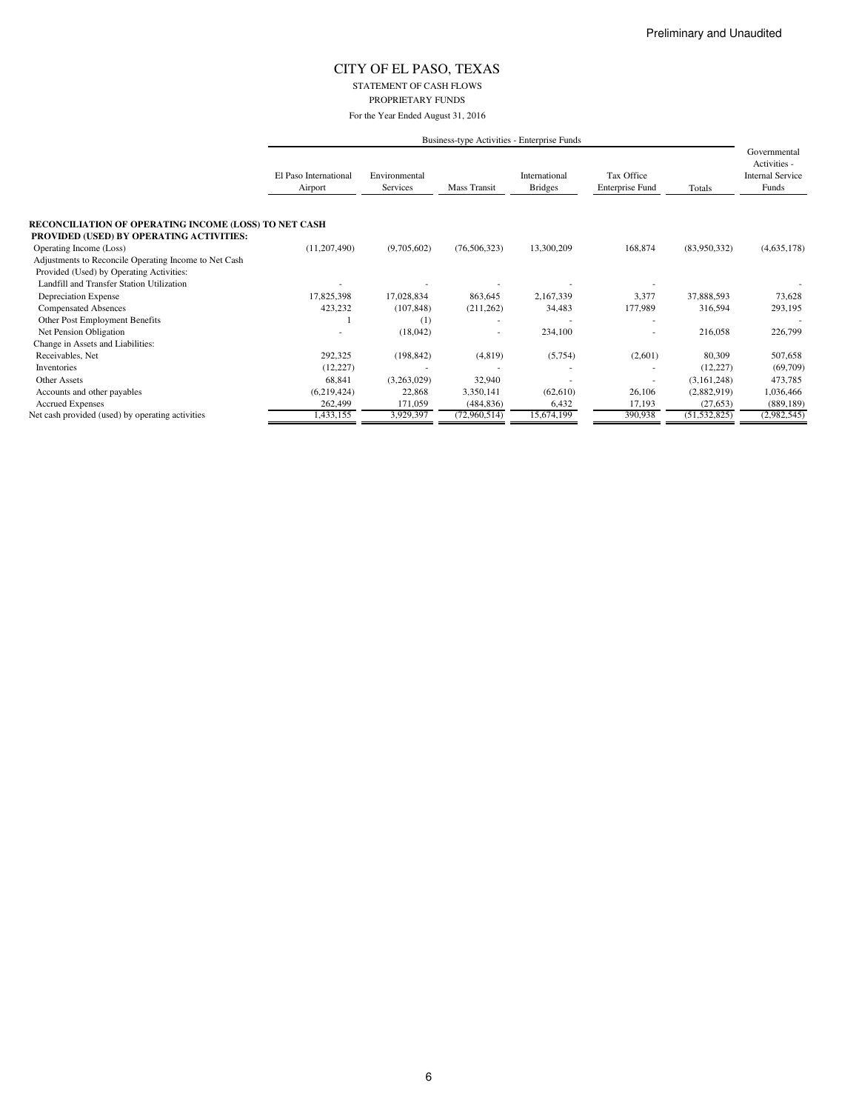STATEMENT OF CASH FLOWS PROPRIETARY FUNDS

|                                                                     |                                  |                           |                | Business-type Activities - Enterprise Funds |                                      |                |                                                                  |
|---------------------------------------------------------------------|----------------------------------|---------------------------|----------------|---------------------------------------------|--------------------------------------|----------------|------------------------------------------------------------------|
|                                                                     | El Paso International<br>Airport | Environmental<br>Services | Mass Transit   | International<br><b>Bridges</b>             | Tax Office<br><b>Enterprise Fund</b> | Totals         | Governmental<br>Activities -<br><b>Internal Service</b><br>Funds |
| <b>RECONCILIATION OF OPERATING INCOME (LOSS) TO NET CASH</b>        |                                  |                           |                |                                             |                                      |                |                                                                  |
| PROVIDED (USED) BY OPERATING ACTIVITIES:<br>Operating Income (Loss) | (11, 207, 490)                   | (9,705,602)               | (76, 506, 323) | 13,300,209                                  | 168,874                              | (83,950,332)   | (4,635,178)                                                      |
| Adjustments to Reconcile Operating Income to Net Cash               |                                  |                           |                |                                             |                                      |                |                                                                  |
| Provided (Used) by Operating Activities:                            |                                  |                           |                |                                             |                                      |                |                                                                  |
| Landfill and Transfer Station Utilization                           |                                  |                           |                |                                             |                                      |                |                                                                  |
| Depreciation Expense                                                | 17,825,398                       | 17,028,834                | 863,645        | 2,167,339                                   | 3,377                                | 37,888,593     | 73,628                                                           |
| <b>Compensated Absences</b>                                         | 423,232                          | (107, 848)                | (211, 262)     | 34,483                                      | 177,989                              | 316,594        | 293,195                                                          |
| Other Post Employment Benefits                                      |                                  | (1)                       |                |                                             |                                      |                |                                                                  |
| Net Pension Obligation                                              |                                  | (18,042)                  |                | 234,100                                     |                                      | 216,058        | 226,799                                                          |
| Change in Assets and Liabilities:                                   |                                  |                           |                |                                             |                                      |                |                                                                  |
| Receivables, Net                                                    | 292,325                          | (198, 842)                | (4, 819)       | (5,754)                                     | (2,601)                              | 80,309         | 507,658                                                          |
| Inventories                                                         | (12, 227)                        |                           |                |                                             |                                      | (12, 227)      | (69,709)                                                         |
| <b>Other Assets</b>                                                 | 68,841                           | (3,263,029)               | 32,940         |                                             | ٠                                    | (3,161,248)    | 473,785                                                          |
| Accounts and other payables                                         | (6,219,424)                      | 22,868                    | 3,350,141      | (62, 610)                                   | 26,106                               | (2,882,919)    | 1,036,466                                                        |
| <b>Accrued Expenses</b>                                             | 262,499                          | 171,059                   | (484, 836)     | 6,432                                       | 17,193                               | (27, 653)      | (889, 189)                                                       |
| Net cash provided (used) by operating activities                    | 1,433,155                        | 3,929,397                 | (72,960,514)   | 15,674,199                                  | 390,938                              | (51, 532, 825) | (2,982,545)                                                      |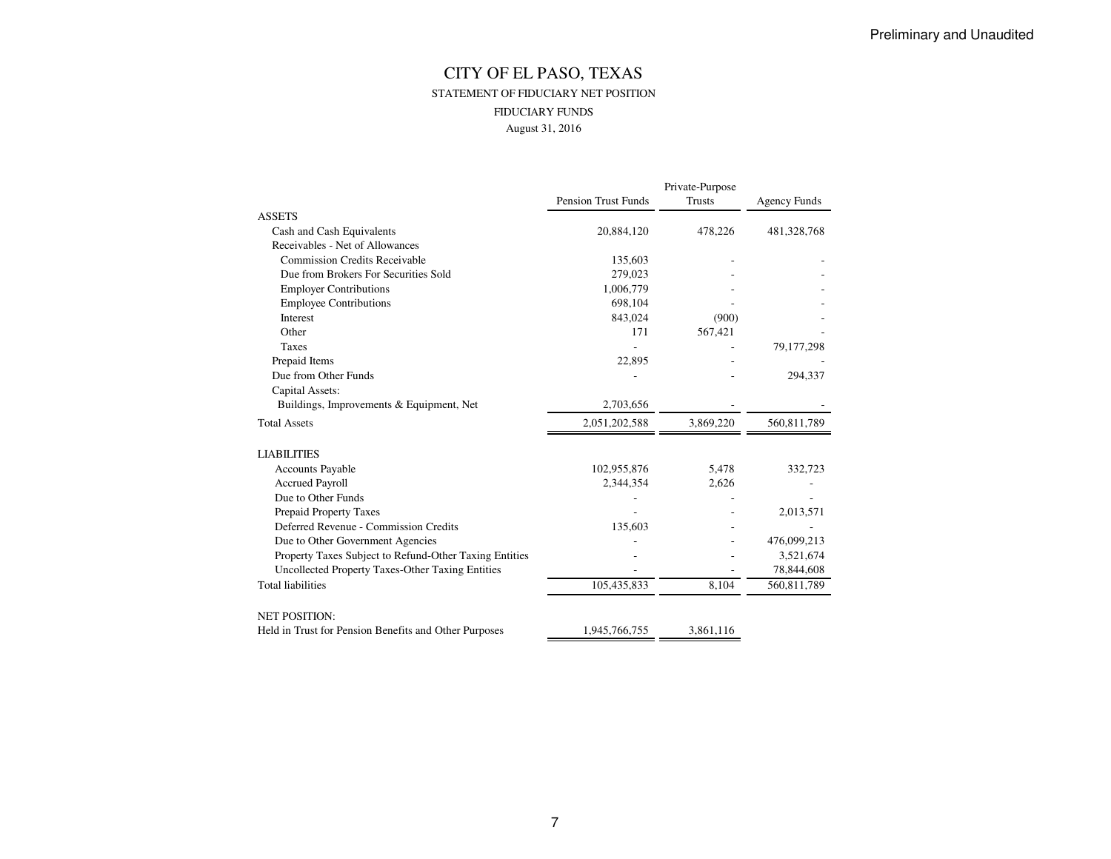## CITY OF EL PASO, TEXAS STATEMENT OF FIDUCIARY NET POSITIONFIDUCIARY FUNDSAugust 31, 2016

|                                                        |                            | Private-Purpose |                     |
|--------------------------------------------------------|----------------------------|-----------------|---------------------|
|                                                        | <b>Pension Trust Funds</b> | Trusts          | <b>Agency Funds</b> |
| <b>ASSETS</b>                                          |                            |                 |                     |
| Cash and Cash Equivalents                              | 20,884,120                 | 478,226         | 481,328,768         |
| Receivables - Net of Allowances                        |                            |                 |                     |
| <b>Commission Credits Receivable</b>                   | 135,603                    |                 |                     |
| Due from Brokers For Securities Sold                   | 279,023                    |                 |                     |
| <b>Employer Contributions</b>                          | 1,006,779                  |                 |                     |
| <b>Employee Contributions</b>                          | 698,104                    |                 |                     |
| Interest                                               | 843,024                    | (900)           |                     |
| Other                                                  | 171                        | 567,421         |                     |
| <b>Taxes</b>                                           |                            |                 | 79, 177, 298        |
| Prepaid Items                                          | 22,895                     |                 |                     |
| Due from Other Funds                                   |                            |                 | 294,337             |
| Capital Assets:                                        |                            |                 |                     |
| Buildings, Improvements & Equipment, Net               | 2,703,656                  |                 |                     |
| <b>Total Assets</b>                                    | 2,051,202,588              | 3,869,220       | 560,811,789         |
| <b>LIABILITIES</b>                                     |                            |                 |                     |
| <b>Accounts Payable</b>                                | 102,955,876                | 5,478           | 332,723             |
| <b>Accrued Payroll</b>                                 | 2,344,354                  | 2,626           |                     |
| Due to Other Funds                                     |                            |                 |                     |
| Prepaid Property Taxes                                 |                            |                 | 2,013,571           |
| Deferred Revenue - Commission Credits                  | 135,603                    |                 |                     |
| Due to Other Government Agencies                       |                            |                 | 476,099,213         |
| Property Taxes Subject to Refund-Other Taxing Entities |                            |                 | 3,521,674           |
| Uncollected Property Taxes-Other Taxing Entities       |                            |                 | 78,844,608          |
| <b>Total liabilities</b>                               | 105,435,833                | 8,104           | 560,811,789         |
| <b>NET POSITION:</b>                                   |                            |                 |                     |
| Held in Trust for Pension Benefits and Other Purposes  | 1,945,766,755              | 3,861,116       |                     |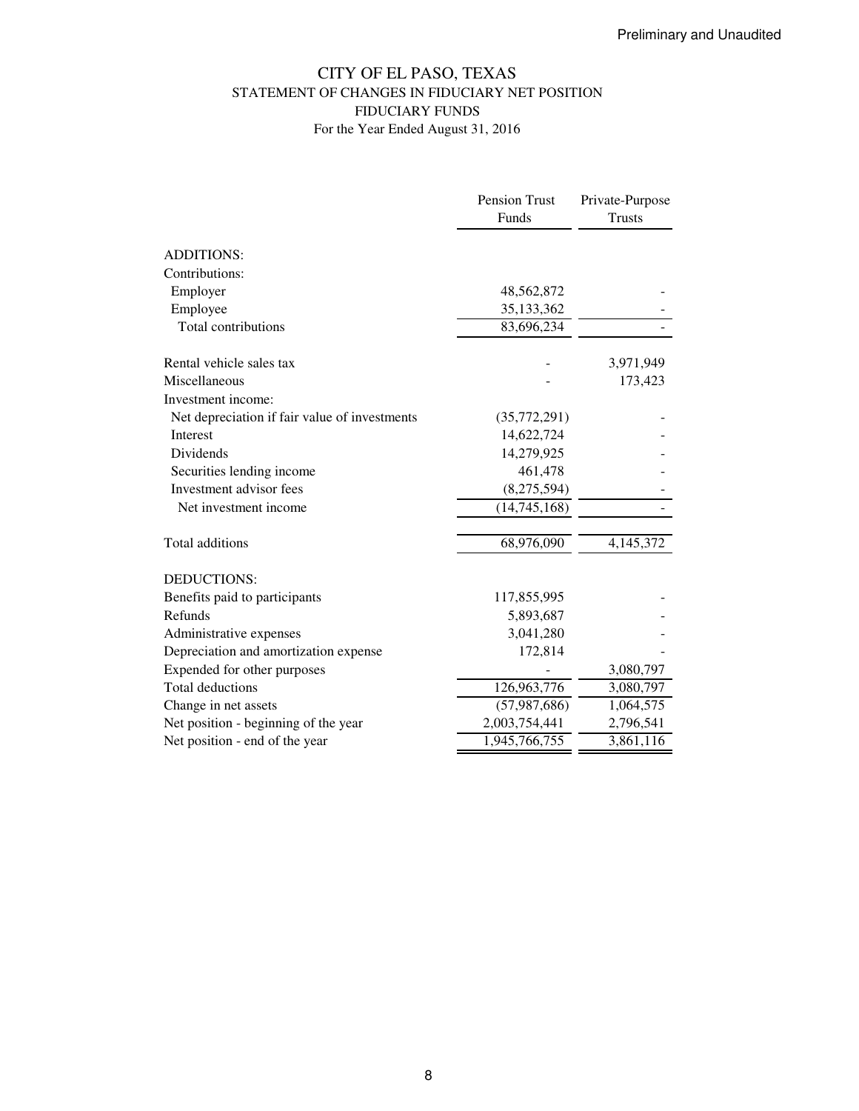## CITY OF EL PASO, TEXAS STATEMENT OF CHANGES IN FIDUCIARY NET POSITION FIDUCIARY FUNDS For the Year Ended August 31, 2016

|                                               | <b>Pension Trust</b> | Private-Purpose |
|-----------------------------------------------|----------------------|-----------------|
|                                               | <b>Funds</b>         | <b>Trusts</b>   |
| <b>ADDITIONS:</b>                             |                      |                 |
| Contributions:                                |                      |                 |
| Employer                                      | 48,562,872           |                 |
| Employee                                      | 35,133,362           |                 |
| Total contributions                           | 83,696,234           |                 |
| Rental vehicle sales tax                      |                      | 3,971,949       |
| Miscellaneous                                 |                      | 173,423         |
| Investment income:                            |                      |                 |
| Net depreciation if fair value of investments | (35,772,291)         |                 |
| <b>Interest</b>                               | 14,622,724           |                 |
| <b>Dividends</b>                              | 14,279,925           |                 |
| Securities lending income                     | 461,478              |                 |
| Investment advisor fees                       | (8,275,594)          |                 |
| Net investment income                         | (14, 745, 168)       |                 |
| Total additions                               | 68,976,090           | 4,145,372       |
| <b>DEDUCTIONS:</b>                            |                      |                 |
| Benefits paid to participants                 | 117,855,995          |                 |
| Refunds                                       | 5,893,687            |                 |
| Administrative expenses                       | 3,041,280            |                 |
| Depreciation and amortization expense         | 172,814              |                 |
| Expended for other purposes                   |                      | 3,080,797       |
| <b>Total deductions</b>                       | 126,963,776          | 3,080,797       |
| Change in net assets                          | (57, 987, 686)       | 1,064,575       |
| Net position - beginning of the year          | 2,003,754,441        | 2,796,541       |
| Net position - end of the year                | 1,945,766,755        | 3,861,116       |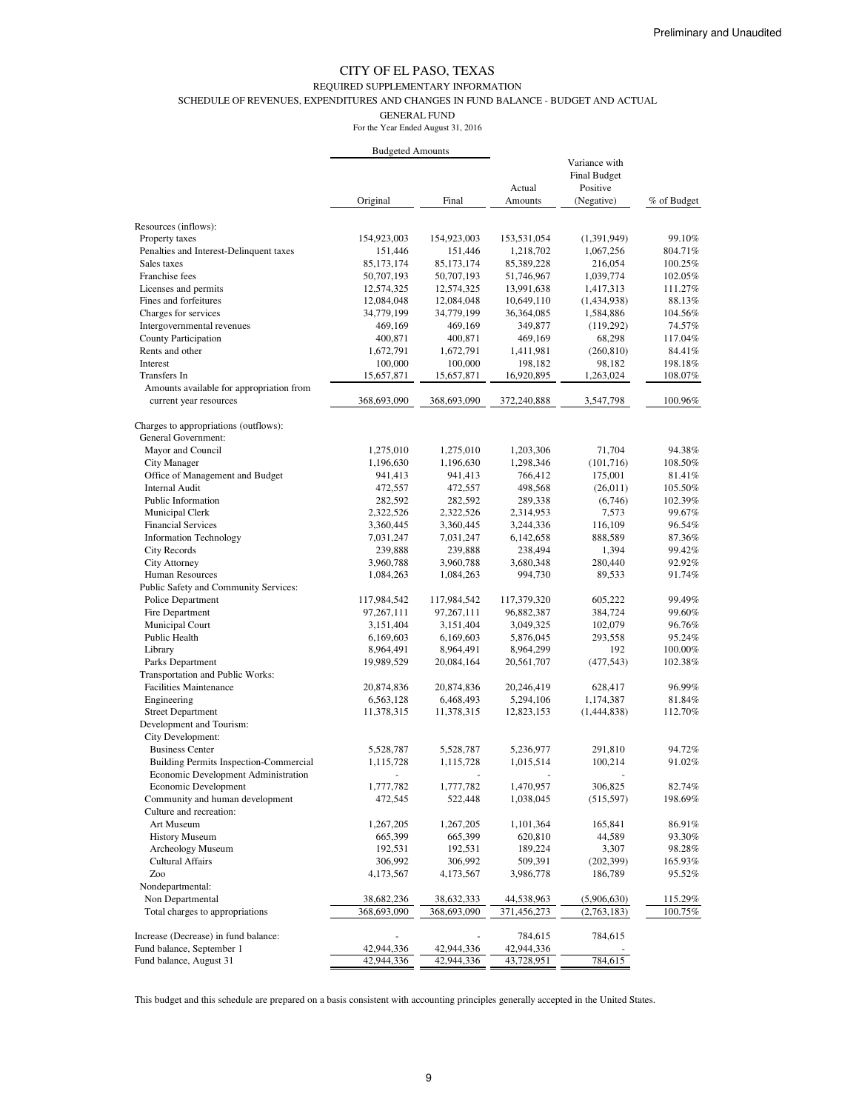## REQUIRED SUPPLEMENTARY INFORMATION

SCHEDULE OF REVENUES, EXPENDITURES AND CHANGES IN FUND BALANCE - BUDGET AND ACTUAL

GENERAL FUND

For the Year Ended August 31, 2016

|                                               | <b>Budgeted Amounts</b> |             |             |                     |             |
|-----------------------------------------------|-------------------------|-------------|-------------|---------------------|-------------|
|                                               |                         |             |             | Variance with       |             |
|                                               |                         |             |             | <b>Final Budget</b> |             |
|                                               |                         |             | Actual      | Positive            |             |
|                                               | Original                | Final       | Amounts     | (Negative)          | % of Budget |
| Resources (inflows):                          |                         |             |             |                     |             |
| Property taxes                                | 154,923,003             | 154,923,003 | 153,531,054 | (1,391,949)         | 99.10%      |
| Penalties and Interest-Delinquent taxes       | 151,446                 | 151,446     | 1,218,702   | 1,067,256           | 804.71%     |
| Sales taxes                                   | 85,173,174              | 85,173,174  | 85,389,228  | 216,054             | 100.25%     |
| Franchise fees                                | 50,707,193              | 50,707,193  | 51,746,967  | 1,039,774           | 102.05%     |
| Licenses and permits                          | 12,574,325              | 12,574,325  | 13,991,638  | 1,417,313           | 111.27%     |
| Fines and forfeitures                         | 12,084,048              | 12,084,048  | 10,649,110  | (1,434,938)         | 88.13%      |
| Charges for services                          | 34,779,199              | 34,779,199  | 36,364,085  | 1,584,886           | 104.56%     |
| Intergovernmental revenues                    | 469,169                 | 469,169     | 349,877     | (119,292)           | 74.57%      |
| <b>County Participation</b>                   | 400,871                 | 400,871     | 469,169     | 68,298              | 117.04%     |
| Rents and other                               | 1,672,791               | 1,672,791   | 1,411,981   | (260, 810)          | 84.41%      |
| Interest                                      | 100,000                 | 100,000     | 198,182     | 98,182              | 198.18%     |
| Transfers In                                  | 15,657,871              | 15,657,871  | 16,920,895  | 1,263,024           | 108.07%     |
| Amounts available for appropriation from      |                         |             |             |                     |             |
| current year resources                        | 368,693,090             | 368,693,090 | 372,240,888 | 3,547,798           | 100.96%     |
| Charges to appropriations (outflows):         |                         |             |             |                     |             |
| <b>General Government:</b>                    |                         |             |             |                     |             |
| Mayor and Council                             | 1,275,010               | 1,275,010   | 1,203,306   | 71,704              | 94.38%      |
| <b>City Manager</b>                           | 1,196,630               | 1,196,630   | 1,298,346   | (101, 716)          | 108.50%     |
| Office of Management and Budget               | 941,413                 | 941,413     | 766,412     | 175,001             | 81.41%      |
| <b>Internal Audit</b>                         | 472,557                 | 472,557     | 498,568     | (26,011)            | 105.50%     |
| Public Information                            | 282,592                 | 282,592     | 289,338     | (6,746)             | 102.39%     |
| Municipal Clerk                               | 2,322,526               | 2,322,526   | 2,314,953   | 7,573               | 99.67%      |
| <b>Financial Services</b>                     | 3,360,445               | 3,360,445   | 3,244,336   | 116,109             | 96.54%      |
| <b>Information Technology</b>                 | 7,031,247               | 7,031,247   | 6,142,658   | 888,589             | 87.36%      |
| <b>City Records</b>                           | 239,888                 | 239,888     | 238,494     | 1,394               | 99.42%      |
| <b>City Attorney</b>                          | 3,960,788               | 3,960,788   | 3,680,348   | 280,440             | 92.92%      |
| Human Resources                               | 1,084,263               | 1,084,263   | 994,730     | 89,533              | 91.74%      |
| Public Safety and Community Services:         |                         |             |             |                     |             |
| Police Department                             | 117,984,542             | 117,984,542 | 117,379,320 | 605,222             | 99.49%      |
| Fire Department                               | 97,267,111              | 97,267,111  | 96,882,387  | 384,724             | 99.60%      |
| Municipal Court                               | 3,151,404               | 3,151,404   | 3,049,325   | 102,079             | 96.76%      |
| Public Health                                 | 6,169,603               | 6,169,603   | 5,876,045   | 293,558             | 95.24%      |
| Library                                       | 8,964,491               | 8,964,491   | 8,964,299   | 192                 | 100.00%     |
| Parks Department                              | 19,989,529              | 20,084,164  | 20,561,707  | (477, 543)          | 102.38%     |
| Transportation and Public Works:              |                         |             |             |                     |             |
| <b>Facilities Maintenance</b>                 | 20,874,836              | 20,874,836  | 20,246,419  | 628,417             | 96.99%      |
| Engineering                                   | 6,563,128               | 6,468,493   | 5,294,106   | 1,174,387           | 81.84%      |
| <b>Street Department</b>                      | 11,378,315              | 11,378,315  | 12,823,153  | (1,444,838)         | 112.70%     |
| Development and Tourism:                      |                         |             |             |                     |             |
| City Development:                             |                         |             |             |                     |             |
| <b>Business Center</b>                        | 5,528,787               | 5,528,787   | 5,236,977   | 291,810             | 94.72%      |
| <b>Building Permits Inspection-Commercial</b> | 1,115,728               | 1,115,728   | 1,015,514   | 100,214             | 91.02%      |
| Economic Development Administration           |                         |             |             |                     |             |
| Economic Development                          | 1,777,782               | 1,777,782   | 1,470,957   | 306,825             | 82.74%      |
| Community and human development               | 472,545                 | 522,448     | 1,038,045   | (515, 597)          | 198.69%     |
| Culture and recreation:                       |                         |             |             |                     |             |
| Art Museum                                    | 1,267,205               | 1,267,205   | 1,101,364   | 165,841             | 86.91%      |
| <b>History Museum</b>                         | 665,399                 | 665,399     | 620,810     | 44,589              | 93.30%      |
| Archeology Museum                             | 192,531                 | 192,531     | 189,224     | 3,307               | 98.28%      |
| <b>Cultural Affairs</b>                       | 306,992                 | 306,992     | 509,391     | (202, 399)          | 165.93%     |
| Zoo                                           | 4,173,567               | 4,173,567   | 3,986,778   | 186,789             | 95.52%      |
| Nondepartmental:                              |                         |             |             |                     |             |
| Non Departmental                              | 38,682,236              | 38,632,333  | 44,538,963  | (5,906,630)         | 115.29%     |
| Total charges to appropriations               | 368,693,090             | 368,693,090 | 371,456,273 | (2,763,183)         | 100.75%     |
| Increase (Decrease) in fund balance:          |                         |             | 784,615     | 784,615             |             |
| Fund balance, September 1                     | 42,944,336              | 42,944,336  | 42,944,336  |                     |             |
| Fund balance, August 31                       | 42,944,336              | 42,944,336  | 43,728,951  | 784,615             |             |

This budget and this schedule are prepared on a basis consistent with accounting principles generally accepted in the United States.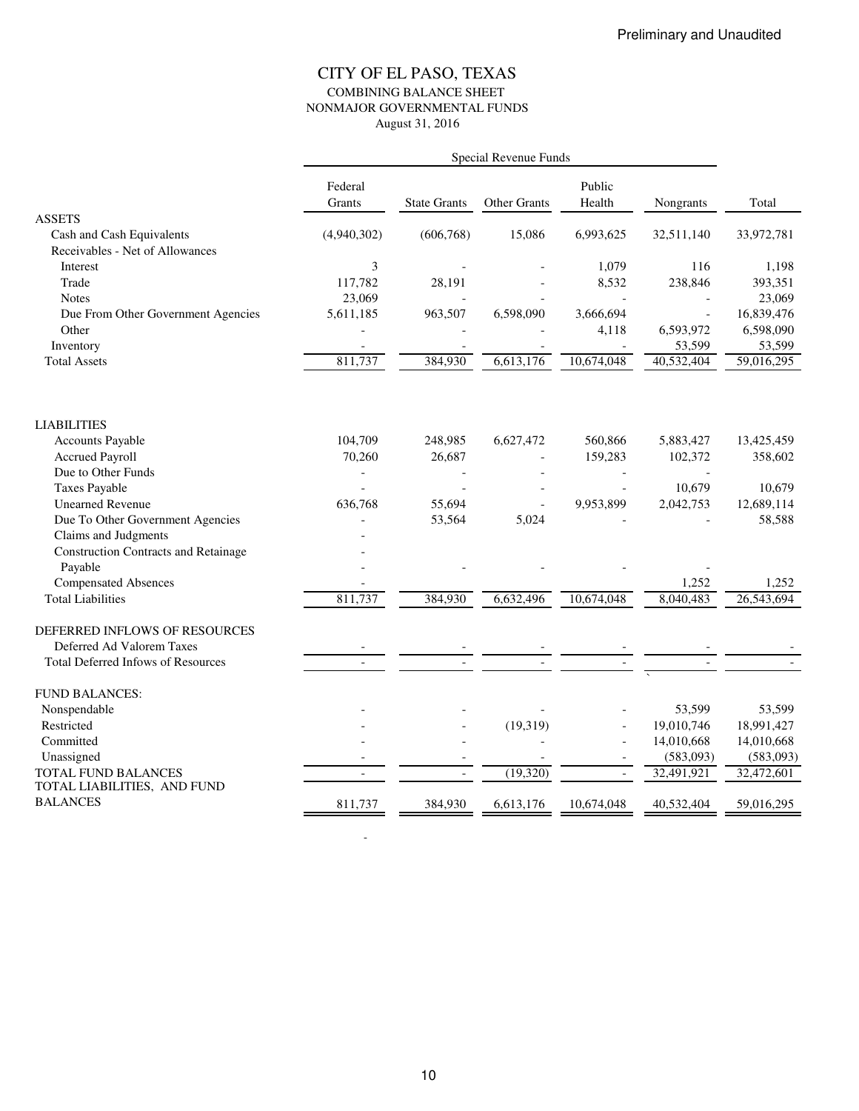## CITY OF EL PASO, TEXAS COMBINING BALANCE SHEET NONMAJOR GOVERNMENTAL FUNDS August 31, 2016

|                                                    | Special Revenue Funds |                     |              |                  |            |            |
|----------------------------------------------------|-----------------------|---------------------|--------------|------------------|------------|------------|
|                                                    | Federal<br>Grants     | <b>State Grants</b> | Other Grants | Public<br>Health | Nongrants  | Total      |
| <b>ASSETS</b><br>Cash and Cash Equivalents         | (4,940,302)           | (606, 768)          | 15,086       | 6,993,625        | 32,511,140 | 33,972,781 |
| Receivables - Net of Allowances                    |                       |                     |              |                  |            |            |
| Interest                                           | 3                     |                     |              | 1,079            | 116        | 1,198      |
| Trade                                              | 117,782               | 28,191              |              | 8,532            | 238,846    | 393,351    |
| <b>Notes</b>                                       | 23,069                |                     |              |                  |            | 23,069     |
| Due From Other Government Agencies                 | 5,611,185             | 963,507             | 6,598,090    | 3,666,694        |            | 16,839,476 |
| Other                                              |                       |                     |              | 4,118            | 6,593,972  | 6,598,090  |
| Inventory                                          |                       |                     |              |                  | 53,599     | 53,599     |
| <b>Total Assets</b>                                | 811,737               | 384,930             | 6,613,176    | 10,674,048       | 40,532,404 | 59,016,295 |
| <b>LIABILITIES</b>                                 |                       |                     |              |                  |            |            |
| <b>Accounts Payable</b>                            | 104,709               | 248,985             | 6,627,472    | 560,866          | 5,883,427  | 13,425,459 |
| <b>Accrued Payroll</b>                             | 70,260                | 26,687              |              | 159,283          | 102,372    | 358,602    |
| Due to Other Funds                                 |                       |                     |              |                  |            |            |
| <b>Taxes Payable</b>                               |                       |                     |              |                  | 10,679     | 10,679     |
| <b>Unearned Revenue</b>                            | 636,768               | 55,694              |              | 9,953,899        | 2,042,753  | 12,689,114 |
| Due To Other Government Agencies                   |                       | 53,564              | 5,024        |                  |            | 58,588     |
| Claims and Judgments                               |                       |                     |              |                  |            |            |
| <b>Construction Contracts and Retainage</b>        |                       |                     |              |                  |            |            |
| Payable                                            |                       |                     |              |                  |            |            |
| <b>Compensated Absences</b>                        |                       |                     |              |                  | 1,252      | 1,252      |
| <b>Total Liabilities</b>                           | 811,737               | 384,930             | 6,632,496    | 10,674,048       | 8,040,483  | 26,543,694 |
| DEFERRED INFLOWS OF RESOURCES                      |                       |                     |              |                  |            |            |
| Deferred Ad Valorem Taxes                          |                       |                     |              |                  |            |            |
| Total Deferred Infows of Resources                 |                       |                     |              |                  |            |            |
| <b>FUND BALANCES:</b>                              |                       |                     |              |                  |            |            |
| Nonspendable                                       |                       |                     |              |                  | 53,599     | 53,599     |
| Restricted                                         |                       |                     | (19, 319)    |                  | 19,010,746 | 18,991,427 |
| Committed                                          |                       |                     |              |                  | 14,010,668 | 14,010,668 |
| Unassigned                                         |                       |                     |              |                  | (583,093)  | (583,093)  |
| TOTAL FUND BALANCES<br>TOTAL LIABILITIES, AND FUND |                       |                     | (19,320)     | $\equiv$         | 32,491,921 | 32,472,601 |
| <b>BALANCES</b>                                    | 811,737               | 384,930             | 6,613,176    | 10,674,048       | 40,532,404 | 59,016,295 |

- 100 minutes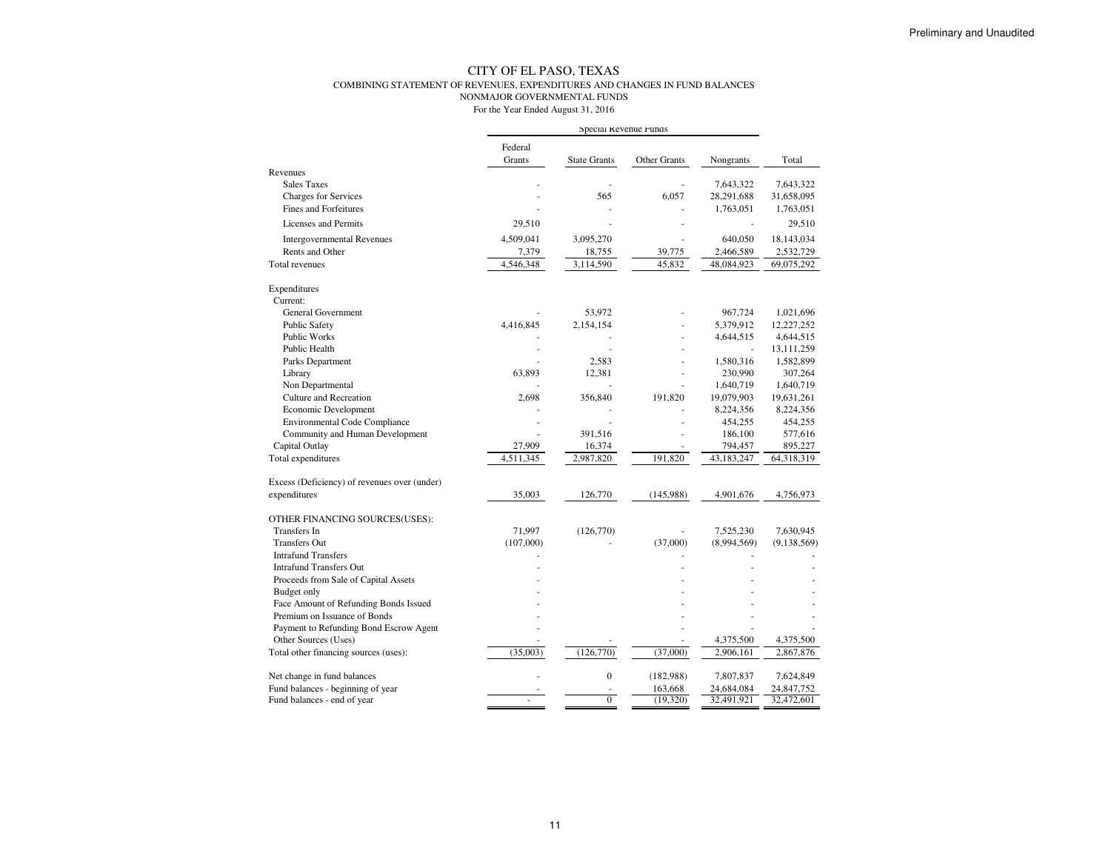#### COMBINING STATEMENT OF REVENUES, EXPENDITURES AND CHANGES IN FUND BALANCES

NONMAJOR GOVERNMENTAL FUNDS

|                                              | Special Revenue Funds |                     |              |             |             |
|----------------------------------------------|-----------------------|---------------------|--------------|-------------|-------------|
|                                              | Federal               |                     |              |             |             |
|                                              | Grants                | <b>State Grants</b> | Other Grants | Nongrants   | Total       |
| Revenues                                     |                       |                     |              |             |             |
| <b>Sales Taxes</b>                           |                       |                     |              | 7,643,322   | 7,643,322   |
| <b>Charges for Services</b>                  |                       | 565                 | 6,057        | 28,291,688  | 31,658,095  |
| Fines and Forfeitures                        |                       |                     |              | 1,763,051   | 1,763,051   |
| Licenses and Permits                         | 29,510                |                     |              |             | 29,510      |
| <b>Intergovernmental Revenues</b>            | 4,509,041             | 3,095,270           |              | 640,050     | 18,143,034  |
| Rents and Other                              | 7,379                 | 18,755              | 39,775       | 2,466,589   | 2,532,729   |
| <b>Total revenues</b>                        | 4,546,348             | 3,114,590           | 45,832       | 48,084,923  | 69,075,292  |
| Expenditures                                 |                       |                     |              |             |             |
| Current:                                     |                       |                     |              |             |             |
| <b>General Government</b>                    |                       | 53,972              |              | 967,724     | 1,021,696   |
| <b>Public Safety</b>                         | 4,416,845             | 2,154,154           |              | 5,379,912   | 12,227,252  |
| <b>Public Works</b>                          |                       |                     |              | 4,644,515   | 4,644,515   |
| Public Health                                |                       |                     |              |             | 13,111,259  |
| Parks Department                             |                       | 2,583               |              | 1,580,316   | 1,582,899   |
| Library                                      | 63,893                | 12,381              |              | 230,990     | 307,264     |
| Non Departmental                             |                       |                     |              | 1,640,719   | 1,640,719   |
| Culture and Recreation                       | 2,698                 | 356,840             | 191,820      | 19,079,903  | 19,631,261  |
| Economic Development                         |                       |                     |              | 8,224,356   | 8,224,356   |
| <b>Environmental Code Compliance</b>         |                       |                     |              | 454,255     | 454,255     |
| Community and Human Development              |                       | 391,516             |              | 186,100     | 577,616     |
| Capital Outlay                               | 27,909                | 16,374              |              | 794,457     | 895,227     |
| Total expenditures                           | 4.511.345             | 2,987,820           | 191.820      | 43,183,247  | 64,318,319  |
| Excess (Deficiency) of revenues over (under) |                       |                     |              |             |             |
| expenditures                                 | 35,003                | 126,770             | (145,988)    | 4,901,676   | 4,756,973   |
| OTHER FINANCING SOURCES(USES):               |                       |                     |              |             |             |
| Transfers In                                 | 71,997                | (126,770)           |              | 7,525,230   | 7,630,945   |
| <b>Transfers Out</b>                         | (107,000)             |                     | (37,000)     | (8,994,569) | (9,138,569) |
| <b>Intrafund Transfers</b>                   |                       |                     |              |             |             |
| <b>Intrafund Transfers Out</b>               |                       |                     |              |             |             |
| Proceeds from Sale of Capital Assets         |                       |                     |              |             |             |
| Budget only                                  |                       |                     |              |             |             |
| Face Amount of Refunding Bonds Issued        |                       |                     |              |             |             |
| Premium on Issuance of Bonds                 |                       |                     |              |             |             |
| Payment to Refunding Bond Escrow Agent       |                       |                     |              |             |             |
| Other Sources (Uses)                         |                       |                     |              | 4,375,500   | 4,375,500   |
| Total other financing sources (uses):        | (35,003)              | (126,770)           | (37,000)     | 2,906,161   | 2,867,876   |
| Net change in fund balances                  |                       | $\overline{0}$      | (182,988)    | 7,807,837   | 7,624,849   |
| Fund balances - beginning of year            |                       |                     | 163,668      | 24,684,084  | 24,847,752  |
| Fund balances - end of year                  |                       | $\overline{0}$      | (19,320)     | 32,491,921  | 32,472,601  |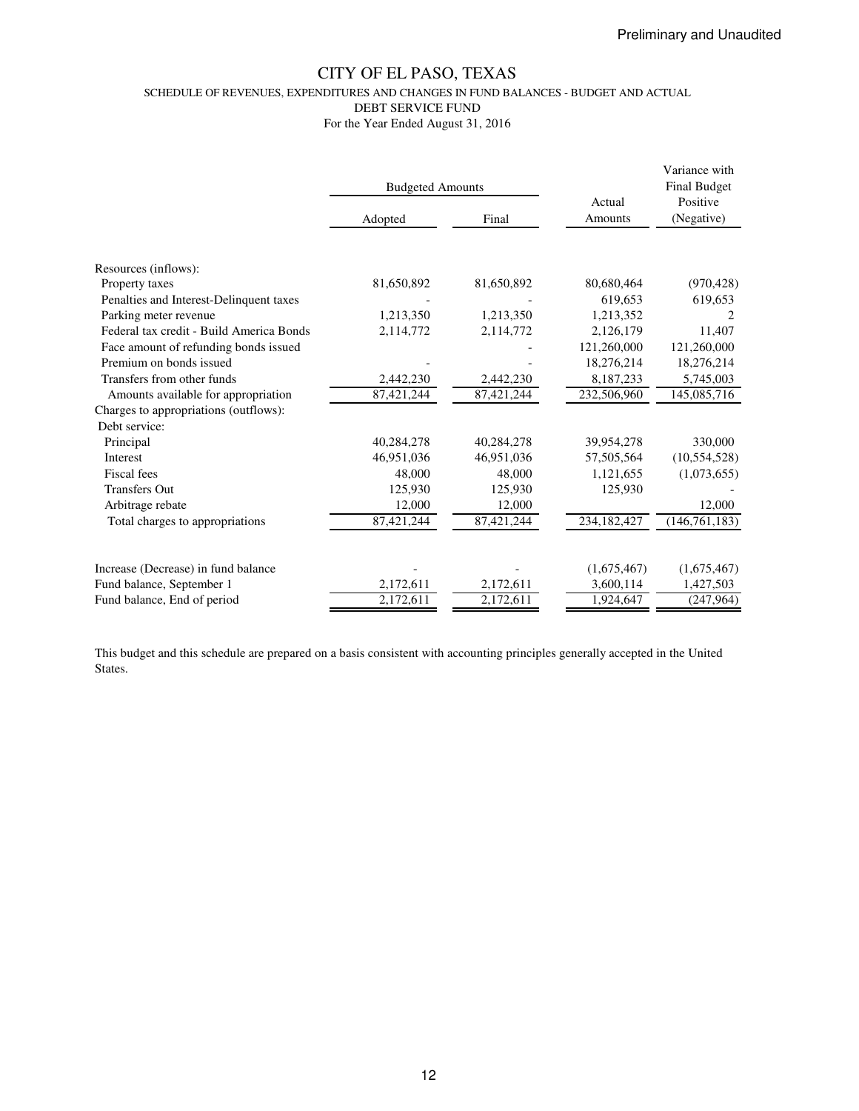SCHEDULE OF REVENUES, EXPENDITURES AND CHANGES IN FUND BALANCES - BUDGET AND ACTUAL

DEBT SERVICE FUND

For the Year Ended August 31, 2016

|                                          | <b>Budgeted Amounts</b> |            | Actual                 | Variance with<br><b>Final Budget</b><br>Positive |  |
|------------------------------------------|-------------------------|------------|------------------------|--------------------------------------------------|--|
|                                          | Adopted                 | Final      | Amounts                | (Negative)                                       |  |
|                                          |                         |            |                        |                                                  |  |
| Resources (inflows):                     |                         |            |                        |                                                  |  |
| Property taxes                           | 81,650,892              | 81,650,892 | 80,680,464             | (970, 428)                                       |  |
| Penalties and Interest-Delinquent taxes  |                         |            | 619,653                | 619,653                                          |  |
| Parking meter revenue                    | 1,213,350               | 1,213,350  | 1,213,352              |                                                  |  |
| Federal tax credit - Build America Bonds | 2,114,772               | 2,114,772  | 2,126,179              | 11,407                                           |  |
| Face amount of refunding bonds issued    |                         |            | 121,260,000            | 121,260,000                                      |  |
| Premium on bonds issued                  |                         |            | 18,276,214             | 18,276,214                                       |  |
| Transfers from other funds               | 2,442,230               | 2,442,230  | 8,187,233              | 5,745,003                                        |  |
| Amounts available for appropriation      | 87,421,244              | 87,421,244 | 232,506,960            | 145,085,716                                      |  |
| Charges to appropriations (outflows):    |                         |            |                        |                                                  |  |
| Debt service:                            |                         |            |                        |                                                  |  |
| Principal                                | 40,284,278              | 40,284,278 | 39,954,278             | 330,000                                          |  |
| Interest                                 | 46,951,036              | 46,951,036 | 57,505,564             | (10, 554, 528)                                   |  |
| Fiscal fees                              | 48,000                  | 48,000     | 1,121,655              | (1,073,655)                                      |  |
| <b>Transfers Out</b>                     | 125,930                 | 125,930    | 125,930                |                                                  |  |
| Arbitrage rebate                         | 12,000                  | 12,000     |                        | 12,000                                           |  |
| Total charges to appropriations          | 87,421,244              | 87,421,244 | 234,182,427            | (146, 761, 183)                                  |  |
|                                          |                         |            |                        |                                                  |  |
| Increase (Decrease) in fund balance      |                         |            | (1,675,467)            | (1,675,467)                                      |  |
| Fund balance, September 1                | 2,172,611               | 2,172,611  | 3,600,114<br>1,924,647 | 1,427,503                                        |  |
| Fund balance, End of period              | 2,172,611               | 2,172,611  |                        | (247, 964)                                       |  |

This budget and this schedule are prepared on a basis consistent with accounting principles generally accepted in the United States.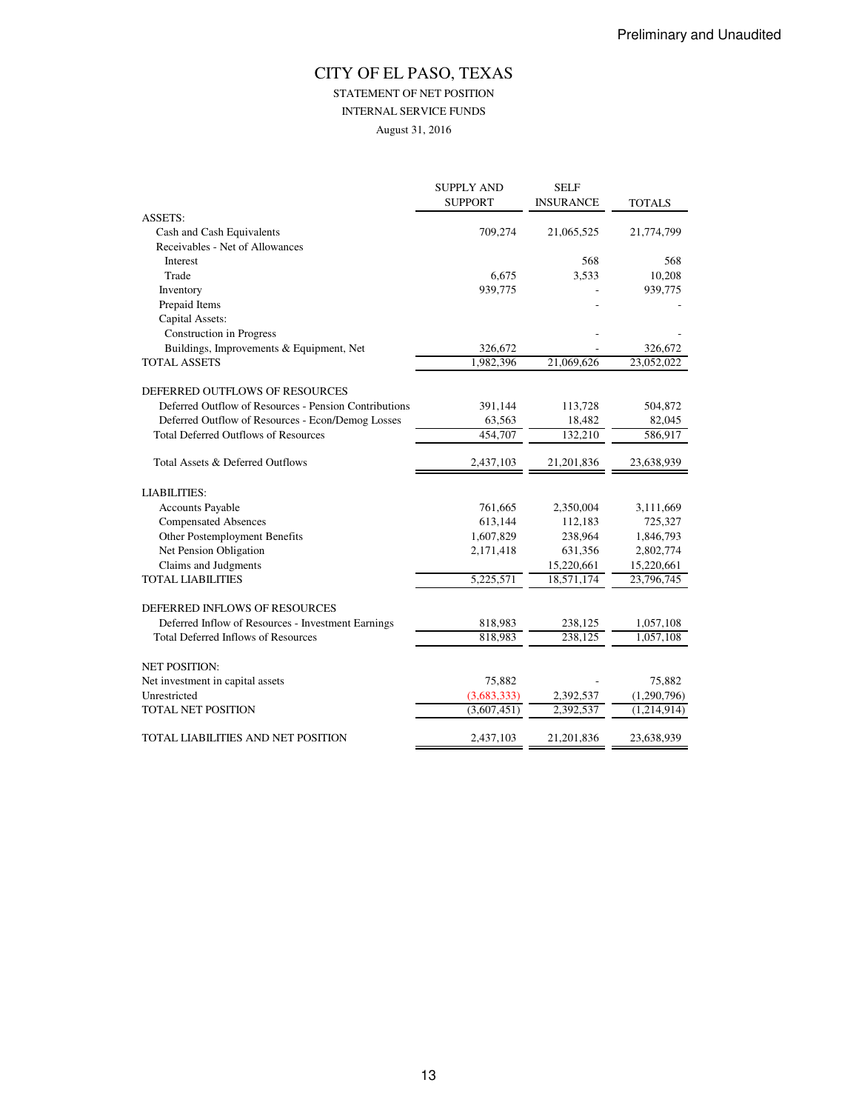STATEMENT OF NET POSITION

INTERNAL SERVICE FUNDS

August 31, 2016

|                                                       | <b>SUPPLY AND</b><br><b>SUPPORT</b> | <b>SELF</b><br><b>INSURANCE</b> | <b>TOTALS</b> |
|-------------------------------------------------------|-------------------------------------|---------------------------------|---------------|
| <b>ASSETS:</b>                                        |                                     |                                 |               |
| Cash and Cash Equivalents                             | 709,274                             | 21,065,525                      | 21,774,799    |
| Receivables - Net of Allowances                       |                                     |                                 |               |
| Interest                                              |                                     | 568                             | 568           |
| Trade                                                 | 6,675                               | 3,533                           | 10,208        |
| Inventory                                             | 939,775                             |                                 | 939,775       |
| Prepaid Items                                         |                                     |                                 |               |
| Capital Assets:                                       |                                     |                                 |               |
| <b>Construction</b> in Progress                       |                                     |                                 |               |
| Buildings, Improvements & Equipment, Net              | 326,672                             |                                 | 326,672       |
| <b>TOTAL ASSETS</b>                                   | 1,982,396                           | 21,069,626                      | 23,052,022    |
| DEFERRED OUTFLOWS OF RESOURCES                        |                                     |                                 |               |
| Deferred Outflow of Resources - Pension Contributions | 391,144                             | 113,728                         | 504,872       |
| Deferred Outflow of Resources - Econ/Demog Losses     | 63,563                              | 18,482                          | 82,045        |
| <b>Total Deferred Outflows of Resources</b>           | 454,707                             | 132,210                         | 586,917       |
| Total Assets & Deferred Outflows                      | 2,437,103                           | 21,201,836                      | 23,638,939    |
| <b>LIABILITIES:</b>                                   |                                     |                                 |               |
| <b>Accounts Payable</b>                               | 761,665                             | 2,350,004                       | 3,111,669     |
| <b>Compensated Absences</b>                           | 613,144                             | 112,183                         | 725,327       |
| Other Postemployment Benefits                         | 1,607,829                           | 238,964                         | 1,846,793     |
| Net Pension Obligation                                | 2,171,418                           | 631,356                         | 2,802,774     |
| Claims and Judgments                                  |                                     | 15,220,661                      | 15,220,661    |
| <b>TOTAL LIABILITIES</b>                              | 5,225,571                           | 18,571,174                      | 23,796,745    |
| DEFERRED INFLOWS OF RESOURCES                         |                                     |                                 |               |
| Deferred Inflow of Resources - Investment Earnings    | 818,983                             | 238,125                         | 1,057,108     |
| <b>Total Deferred Inflows of Resources</b>            | 818,983                             | 238,125                         | 1,057,108     |
| <b>NET POSITION:</b>                                  |                                     |                                 |               |
| Net investment in capital assets                      | 75,882                              |                                 | 75,882        |
| Unrestricted                                          | (3,683,333)                         | 2,392,537                       | (1,290,796)   |
| TOTAL NET POSITION                                    | (3,607,451)                         | 2,392,537                       | (1,214,914)   |
| TOTAL LIABILITIES AND NET POSITION                    | 2,437,103                           | 21,201,836                      | 23,638,939    |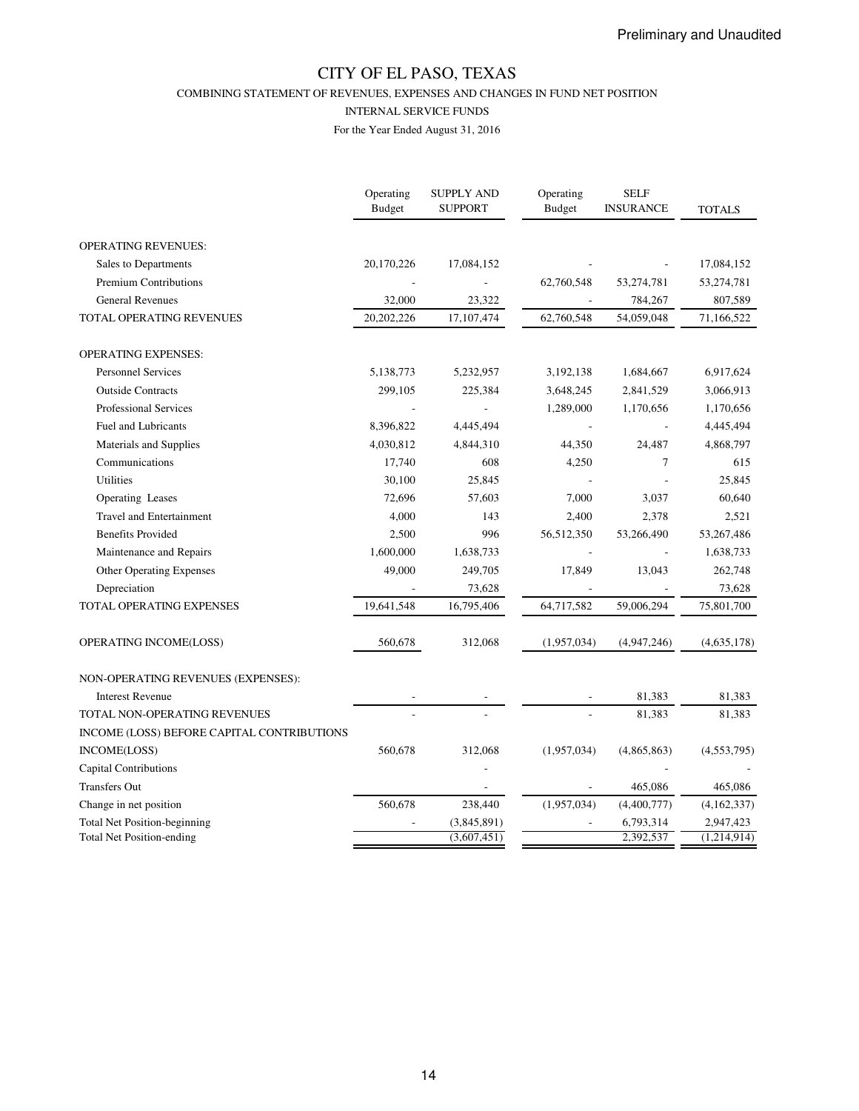COMBINING STATEMENT OF REVENUES, EXPENSES AND CHANGES IN FUND NET POSITION

#### INTERNAL SERVICE FUNDS

|                                            | Operating<br><b>Budget</b> | <b>SUPPLY AND</b><br><b>SUPPORT</b> | Operating<br><b>Budget</b> | <b>SELF</b><br><b>INSURANCE</b> | <b>TOTALS</b> |
|--------------------------------------------|----------------------------|-------------------------------------|----------------------------|---------------------------------|---------------|
| <b>OPERATING REVENUES:</b>                 |                            |                                     |                            |                                 |               |
| Sales to Departments                       | 20,170,226                 | 17,084,152                          |                            |                                 | 17,084,152    |
| <b>Premium Contributions</b>               |                            |                                     | 62,760,548                 | 53,274,781                      | 53,274,781    |
| <b>General Revenues</b>                    | 32,000                     | 23,322                              |                            | 784,267                         | 807,589       |
| TOTAL OPERATING REVENUES                   | 20,202,226                 | 17,107,474                          | 62,760,548                 | 54,059,048                      | 71,166,522    |
| <b>OPERATING EXPENSES:</b>                 |                            |                                     |                            |                                 |               |
| <b>Personnel Services</b>                  | 5,138,773                  | 5,232,957                           | 3,192,138                  | 1,684,667                       | 6,917,624     |
| <b>Outside Contracts</b>                   | 299,105                    | 225,384                             | 3,648,245                  | 2,841,529                       | 3,066,913     |
| <b>Professional Services</b>               |                            |                                     | 1,289,000                  | 1,170,656                       | 1,170,656     |
| <b>Fuel and Lubricants</b>                 | 8,396,822                  | 4,445,494                           |                            |                                 | 4,445,494     |
| Materials and Supplies                     | 4,030,812                  | 4,844,310                           | 44,350                     | 24,487                          | 4,868,797     |
| Communications                             | 17,740                     | 608                                 | 4,250                      | $\tau$                          | 615           |
| <b>Utilities</b>                           | 30,100                     | 25,845                              |                            |                                 | 25,845        |
| Operating Leases                           | 72,696                     | 57,603                              | 7,000                      | 3,037                           | 60,640        |
| <b>Travel and Entertainment</b>            | 4,000                      | 143                                 | 2,400                      | 2,378                           | 2,521         |
| <b>Benefits Provided</b>                   | 2,500                      | 996                                 | 56,512,350                 | 53,266,490                      | 53,267,486    |
| Maintenance and Repairs                    | 1,600,000                  | 1,638,733                           |                            |                                 | 1,638,733     |
| Other Operating Expenses                   | 49,000                     | 249,705                             | 17,849                     | 13,043                          | 262,748       |
| Depreciation                               |                            | 73,628                              |                            |                                 | 73,628        |
| TOTAL OPERATING EXPENSES                   | 19,641,548                 | 16,795,406                          | 64,717,582                 | 59,006,294                      | 75,801,700    |
| OPERATING INCOME(LOSS)                     | 560,678                    | 312,068                             | (1,957,034)                | (4,947,246)                     | (4,635,178)   |
| NON-OPERATING REVENUES (EXPENSES):         |                            |                                     |                            |                                 |               |
| <b>Interest Revenue</b>                    |                            |                                     |                            | 81,383                          | 81,383        |
| TOTAL NON-OPERATING REVENUES               |                            |                                     |                            | 81,383                          | 81,383        |
| INCOME (LOSS) BEFORE CAPITAL CONTRIBUTIONS |                            |                                     |                            |                                 |               |
| INCOME(LOSS)                               | 560,678                    | 312,068                             | (1,957,034)                | (4,865,863)                     | (4,553,795)   |
| <b>Capital Contributions</b>               |                            |                                     |                            |                                 |               |
| Transfers Out                              |                            |                                     |                            | 465,086                         | 465,086       |
| Change in net position                     | 560,678                    | 238,440                             | (1,957,034)                | (4,400,777)                     | (4,162,337)   |
| <b>Total Net Position-beginning</b>        |                            | (3,845,891)                         |                            | 6,793,314                       | 2,947,423     |
| <b>Total Net Position-ending</b>           |                            | (3,607,451)                         |                            | 2,392,537                       | (1,214,914)   |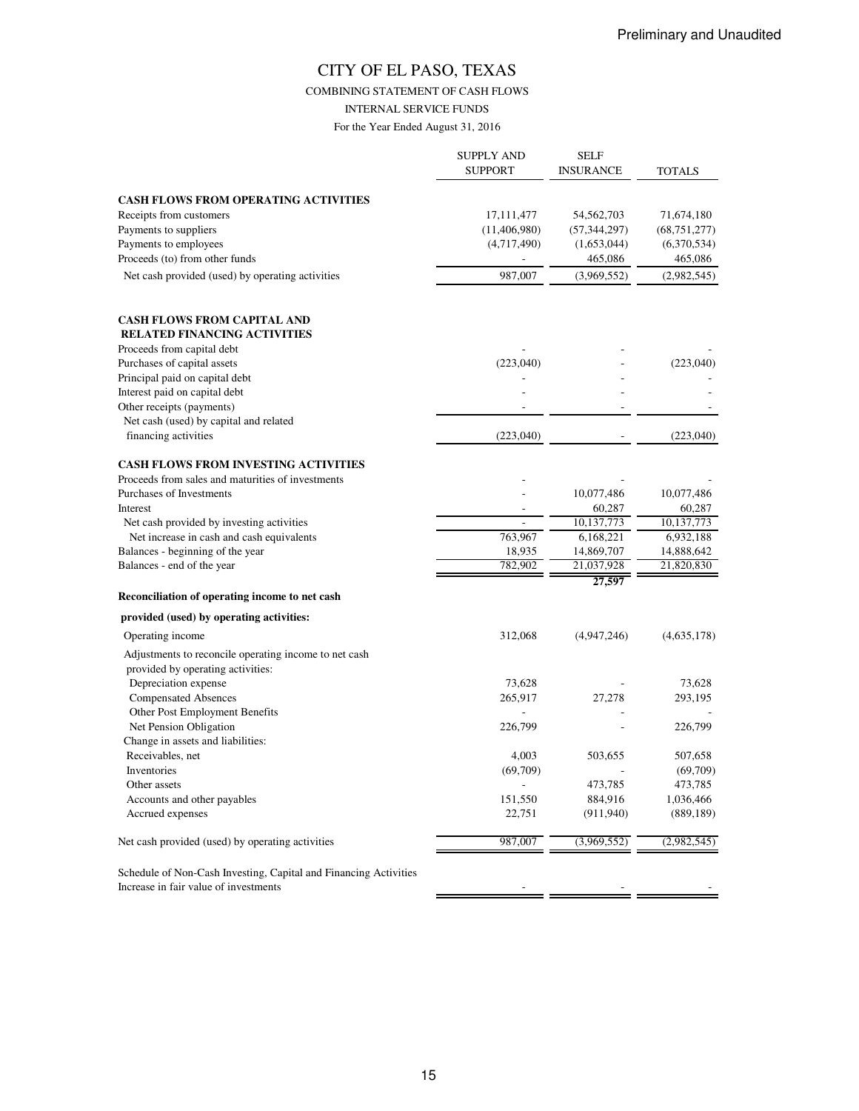COMBINING STATEMENT OF CASH FLOWS

INTERNAL SERVICE FUNDS

|                                                                                        | <b>SUPPLY AND</b><br><b>SUPPORT</b> | <b>SELF</b><br><b>INSURANCE</b> | <b>TOTALS</b>            |
|----------------------------------------------------------------------------------------|-------------------------------------|---------------------------------|--------------------------|
|                                                                                        |                                     |                                 |                          |
| <b>CASH FLOWS FROM OPERATING ACTIVITIES</b>                                            |                                     |                                 |                          |
| Receipts from customers                                                                | 17, 111, 477                        | 54,562,703                      | 71,674,180               |
| Payments to suppliers<br>Payments to employees                                         | (11,406,980)<br>(4,717,490)         | (57, 344, 297)                  | (68, 751, 277)           |
| Proceeds (to) from other funds                                                         |                                     | (1,653,044)                     | (6,370,534)              |
|                                                                                        |                                     | 465,086                         | 465,086                  |
| Net cash provided (used) by operating activities                                       | 987,007                             | (3,969,552)                     | (2,982,545)              |
| <b>CASH FLOWS FROM CAPITAL AND</b>                                                     |                                     |                                 |                          |
| <b>RELATED FINANCING ACTIVITIES</b>                                                    |                                     |                                 |                          |
| Proceeds from capital debt                                                             |                                     |                                 |                          |
| Purchases of capital assets                                                            | (223,040)                           |                                 | (223,040)                |
| Principal paid on capital debt                                                         |                                     |                                 |                          |
| Interest paid on capital debt                                                          |                                     |                                 |                          |
| Other receipts (payments)                                                              |                                     |                                 |                          |
| Net cash (used) by capital and related                                                 |                                     |                                 |                          |
| financing activities                                                                   | (223,040)                           |                                 | (223,040)                |
| <b>CASH FLOWS FROM INVESTING ACTIVITIES</b>                                            |                                     |                                 |                          |
| Proceeds from sales and maturities of investments                                      |                                     |                                 |                          |
| Purchases of Investments                                                               |                                     | 10,077,486                      | 10,077,486               |
| Interest                                                                               | $\overline{\phantom{a}}$            | 60,287<br>10,137,773            | 60,287<br>10,137,773     |
| Net cash provided by investing activities<br>Net increase in cash and cash equivalents | 763,967                             |                                 |                          |
| Balances - beginning of the year                                                       | 18,935                              | 6,168,221                       | 6,932,188                |
| Balances - end of the year                                                             | 782,902                             | 14,869,707<br>21,037,928        | 14,888,642<br>21,820,830 |
|                                                                                        |                                     | 27,597                          |                          |
| Reconciliation of operating income to net cash                                         |                                     |                                 |                          |
| provided (used) by operating activities:                                               |                                     |                                 |                          |
| Operating income                                                                       | 312,068                             | (4,947,246)                     | (4,635,178)              |
| Adjustments to reconcile operating income to net cash                                  |                                     |                                 |                          |
| provided by operating activities:                                                      |                                     |                                 |                          |
| Depreciation expense                                                                   | 73,628                              |                                 | 73,628                   |
| <b>Compensated Absences</b>                                                            | 265,917                             | 27,278                          | 293,195                  |
| Other Post Employment Benefits                                                         |                                     |                                 |                          |
| Net Pension Obligation                                                                 | 226,799                             |                                 | 226,799                  |
| Change in assets and liabilities:                                                      |                                     |                                 |                          |
| Receivables, net                                                                       | 4,003                               | 503,655                         | 507,658                  |
| Inventories                                                                            | (69,709)                            |                                 | (69,709)                 |
| Other assets                                                                           |                                     | 473,785                         | 473,785                  |
| Accounts and other payables                                                            | 151,550                             | 884,916                         | 1,036,466                |
| Accrued expenses                                                                       | 22,751                              | (911, 940)                      | (889, 189)               |
| Net cash provided (used) by operating activities                                       | 987,007                             | (3,969,552)                     | (2,982,545)              |
| Schedule of Non-Cash Investing, Capital and Financing Activities                       |                                     |                                 |                          |
| Increase in fair value of investments                                                  |                                     |                                 |                          |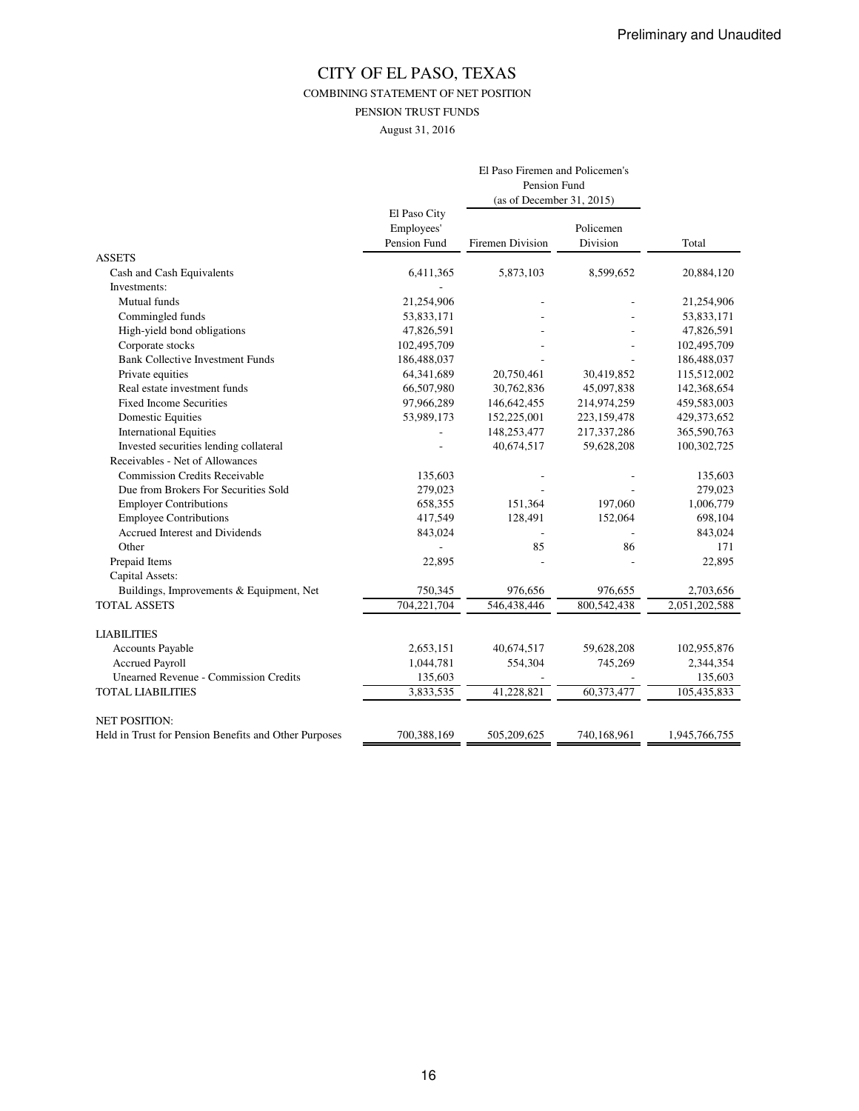COMBINING STATEMENT OF NET POSITION

PENSION TRUST FUNDS

August 31, 2016

|                                                       | El Paso Firemen and Policemen's            |                           |                       |               |  |
|-------------------------------------------------------|--------------------------------------------|---------------------------|-----------------------|---------------|--|
|                                                       |                                            |                           |                       |               |  |
|                                                       |                                            | (as of December 31, 2015) |                       |               |  |
|                                                       | El Paso City<br>Employees'<br>Pension Fund | Firemen Division          | Policemen<br>Division | Total         |  |
| <b>ASSETS</b>                                         |                                            |                           |                       |               |  |
| Cash and Cash Equivalents                             | 6,411,365                                  | 5,873,103                 | 8,599,652             | 20,884,120    |  |
| Investments:                                          |                                            |                           |                       |               |  |
| Mutual funds                                          | 21,254,906                                 |                           |                       | 21,254,906    |  |
| Commingled funds                                      | 53,833,171                                 |                           |                       | 53,833,171    |  |
| High-yield bond obligations                           | 47,826,591                                 |                           |                       | 47,826,591    |  |
| Corporate stocks                                      | 102,495,709                                |                           |                       | 102,495,709   |  |
| <b>Bank Collective Investment Funds</b>               | 186,488,037                                |                           |                       | 186,488,037   |  |
| Private equities                                      | 64,341,689                                 | 20,750,461                | 30,419,852            | 115,512,002   |  |
| Real estate investment funds                          | 66,507,980                                 | 30,762,836                | 45,097,838            | 142,368,654   |  |
| <b>Fixed Income Securities</b>                        | 97,966,289                                 | 146,642,455               | 214,974,259           | 459,583,003   |  |
| Domestic Equities                                     | 53,989,173                                 | 152,225,001               | 223,159,478           | 429,373,652   |  |
| <b>International Equities</b>                         |                                            | 148,253,477               | 217,337,286           | 365,590,763   |  |
| Invested securities lending collateral                |                                            | 40,674,517                | 59,628,208            | 100,302,725   |  |
| Receivables - Net of Allowances                       |                                            |                           |                       |               |  |
| <b>Commission Credits Receivable</b>                  | 135,603                                    |                           |                       | 135,603       |  |
| Due from Brokers For Securities Sold                  | 279,023                                    |                           |                       | 279,023       |  |
| <b>Employer Contributions</b>                         | 658,355                                    | 151,364                   | 197,060               | 1,006,779     |  |
| <b>Employee Contributions</b>                         | 417,549                                    | 128,491                   | 152,064               | 698,104       |  |
| Accrued Interest and Dividends                        | 843,024                                    |                           |                       | 843,024       |  |
| Other                                                 |                                            | 85                        | 86                    | 171           |  |
| Prepaid Items                                         | 22,895                                     |                           |                       | 22,895        |  |
| Capital Assets:                                       |                                            |                           |                       |               |  |
| Buildings, Improvements & Equipment, Net              | 750,345                                    | 976,656                   | 976,655               | 2,703,656     |  |
| <b>TOTAL ASSETS</b>                                   | 704,221,704                                | 546,438,446               | 800,542,438           | 2,051,202,588 |  |
| <b>LIABILITIES</b>                                    |                                            |                           |                       |               |  |
| <b>Accounts Payable</b>                               | 2,653,151                                  | 40,674,517                | 59,628,208            | 102,955,876   |  |
| <b>Accrued Payroll</b>                                | 1,044,781                                  | 554,304                   | 745,269               | 2,344,354     |  |
| <b>Unearned Revenue - Commission Credits</b>          | 135,603                                    |                           |                       | 135,603       |  |
| <b>TOTAL LIABILITIES</b>                              | 3,833,535                                  | 41,228,821                | 60,373,477            | 105,435,833   |  |
| <b>NET POSITION:</b>                                  |                                            |                           |                       |               |  |
| Held in Trust for Pension Benefits and Other Purposes | 700,388,169                                | 505,209,625               | 740,168,961           | 1,945,766,755 |  |